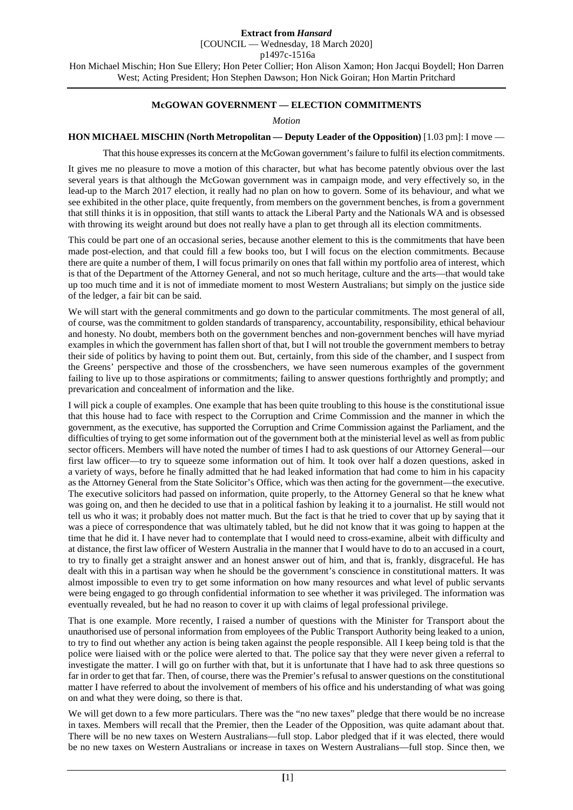[COUNCIL — Wednesday, 18 March 2020]

p1497c-1516a

Hon Michael Mischin; Hon Sue Ellery; Hon Peter Collier; Hon Alison Xamon; Hon Jacqui Boydell; Hon Darren West; Acting President; Hon Stephen Dawson; Hon Nick Goiran; Hon Martin Pritchard

### **McGOWAN GOVERNMENT — ELECTION COMMITMENTS**

#### *Motion*

## **HON MICHAEL MISCHIN (North Metropolitan — Deputy Leader of the Opposition)** [1.03 pm]: I move —

That this house expresses its concern at the McGowan government's failure to fulfil its election commitments.

It gives me no pleasure to move a motion of this character, but what has become patently obvious over the last several years is that although the McGowan government was in campaign mode, and very effectively so, in the lead-up to the March 2017 election, it really had no plan on how to govern. Some of its behaviour, and what we see exhibited in the other place, quite frequently, from members on the government benches, is from a government that still thinks it is in opposition, that still wants to attack the Liberal Party and the Nationals WA and is obsessed with throwing its weight around but does not really have a plan to get through all its election commitments.

This could be part one of an occasional series, because another element to this is the commitments that have been made post-election, and that could fill a few books too, but I will focus on the election commitments. Because there are quite a number of them, I will focus primarily on ones that fall within my portfolio area of interest, which is that of the Department of the Attorney General, and not so much heritage, culture and the arts—that would take up too much time and it is not of immediate moment to most Western Australians; but simply on the justice side of the ledger, a fair bit can be said.

We will start with the general commitments and go down to the particular commitments. The most general of all, of course, was the commitment to golden standards of transparency, accountability, responsibility, ethical behaviour and honesty. No doubt, members both on the government benches and non-government benches will have myriad examples in which the government has fallen short of that, but I will not trouble the government members to betray their side of politics by having to point them out. But, certainly, from this side of the chamber, and I suspect from the Greens' perspective and those of the crossbenchers, we have seen numerous examples of the government failing to live up to those aspirations or commitments; failing to answer questions forthrightly and promptly; and prevarication and concealment of information and the like.

I will pick a couple of examples. One example that has been quite troubling to this house is the constitutional issue that this house had to face with respect to the Corruption and Crime Commission and the manner in which the government, as the executive, has supported the Corruption and Crime Commission against the Parliament, and the difficulties of trying to get some information out of the government both at the ministerial level as well as from public sector officers. Members will have noted the number of times I had to ask questions of our Attorney General—our first law officer—to try to squeeze some information out of him. It took over half a dozen questions, asked in a variety of ways, before he finally admitted that he had leaked information that had come to him in his capacity as the Attorney General from the State Solicitor's Office, which was then acting for the government—the executive. The executive solicitors had passed on information, quite properly, to the Attorney General so that he knew what was going on, and then he decided to use that in a political fashion by leaking it to a journalist. He still would not tell us who it was; it probably does not matter much. But the fact is that he tried to cover that up by saying that it was a piece of correspondence that was ultimately tabled, but he did not know that it was going to happen at the time that he did it. I have never had to contemplate that I would need to cross-examine, albeit with difficulty and at distance, the first law officer of Western Australia in the manner that I would have to do to an accused in a court, to try to finally get a straight answer and an honest answer out of him, and that is, frankly, disgraceful. He has dealt with this in a partisan way when he should be the government's conscience in constitutional matters. It was almost impossible to even try to get some information on how many resources and what level of public servants were being engaged to go through confidential information to see whether it was privileged. The information was eventually revealed, but he had no reason to cover it up with claims of legal professional privilege.

That is one example. More recently, I raised a number of questions with the Minister for Transport about the unauthorised use of personal information from employees of the Public Transport Authority being leaked to a union, to try to find out whether any action is being taken against the people responsible. All I keep being told is that the police were liaised with or the police were alerted to that. The police say that they were never given a referral to investigate the matter. I will go on further with that, but it is unfortunate that I have had to ask three questions so far in order to get that far. Then, of course, there was the Premier's refusal to answer questions on the constitutional matter I have referred to about the involvement of members of his office and his understanding of what was going on and what they were doing, so there is that.

We will get down to a few more particulars. There was the "no new taxes" pledge that there would be no increase in taxes. Members will recall that the Premier, then the Leader of the Opposition, was quite adamant about that. There will be no new taxes on Western Australians—full stop. Labor pledged that if it was elected, there would be no new taxes on Western Australians or increase in taxes on Western Australians—full stop. Since then, we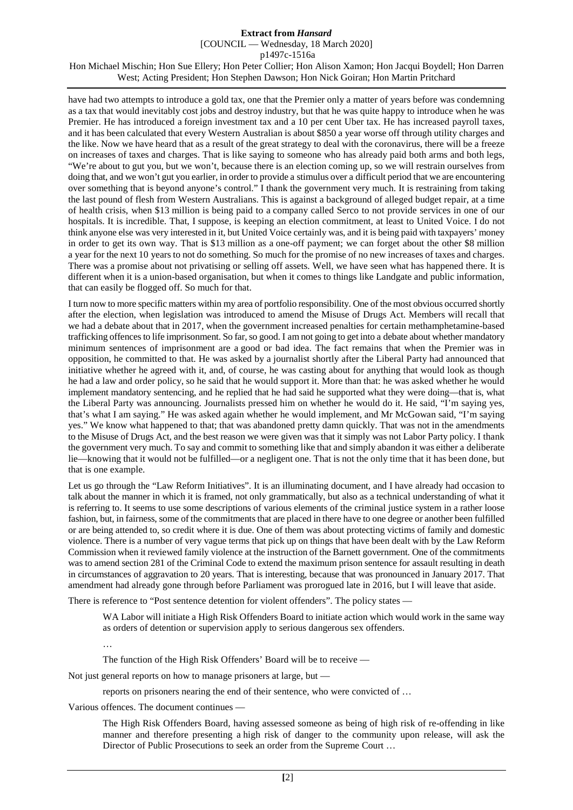[COUNCIL — Wednesday, 18 March 2020]

p1497c-1516a

Hon Michael Mischin; Hon Sue Ellery; Hon Peter Collier; Hon Alison Xamon; Hon Jacqui Boydell; Hon Darren West; Acting President; Hon Stephen Dawson; Hon Nick Goiran; Hon Martin Pritchard

have had two attempts to introduce a gold tax, one that the Premier only a matter of years before was condemning as a tax that would inevitably cost jobs and destroy industry, but that he was quite happy to introduce when he was Premier. He has introduced a foreign investment tax and a 10 per cent Uber tax. He has increased payroll taxes, and it has been calculated that every Western Australian is about \$850 a year worse off through utility charges and the like. Now we have heard that as a result of the great strategy to deal with the coronavirus, there will be a freeze on increases of taxes and charges. That is like saying to someone who has already paid both arms and both legs, "We're about to gut you, but we won't, because there is an election coming up, so we will restrain ourselves from doing that, and we won't gut you earlier, in order to provide a stimulus over a difficult period that we are encountering over something that is beyond anyone's control." I thank the government very much. It is restraining from taking the last pound of flesh from Western Australians. This is against a background of alleged budget repair, at a time of health crisis, when \$13 million is being paid to a company called Serco to not provide services in one of our hospitals. It is incredible. That, I suppose, is keeping an election commitment, at least to United Voice. I do not think anyone else was very interested in it, but United Voice certainly was, and it is being paid with taxpayers' money in order to get its own way. That is \$13 million as a one-off payment; we can forget about the other \$8 million a year for the next 10 years to not do something. So much for the promise of no new increases of taxes and charges. There was a promise about not privatising or selling off assets. Well, we have seen what has happened there. It is different when it is a union-based organisation, but when it comes to things like Landgate and public information, that can easily be flogged off. So much for that.

I turn now to more specific matters within my area of portfolio responsibility. One of the most obvious occurred shortly after the election, when legislation was introduced to amend the Misuse of Drugs Act. Members will recall that we had a debate about that in 2017, when the government increased penalties for certain methamphetamine-based trafficking offences to life imprisonment. So far, so good. I am not going to get into a debate about whether mandatory minimum sentences of imprisonment are a good or bad idea. The fact remains that when the Premier was in opposition, he committed to that. He was asked by a journalist shortly after the Liberal Party had announced that initiative whether he agreed with it, and, of course, he was casting about for anything that would look as though he had a law and order policy, so he said that he would support it. More than that: he was asked whether he would implement mandatory sentencing, and he replied that he had said he supported what they were doing—that is, what the Liberal Party was announcing. Journalists pressed him on whether he would do it. He said, "I'm saying yes, that's what I am saying." He was asked again whether he would implement, and Mr McGowan said, "I'm saying yes." We know what happened to that; that was abandoned pretty damn quickly. That was not in the amendments to the Misuse of Drugs Act, and the best reason we were given was that it simply was not Labor Party policy. I thank the government very much. To say and commit to something like that and simply abandon it was either a deliberate lie—knowing that it would not be fulfilled—or a negligent one. That is not the only time that it has been done, but that is one example.

Let us go through the "Law Reform Initiatives". It is an illuminating document, and I have already had occasion to talk about the manner in which it is framed, not only grammatically, but also as a technical understanding of what it is referring to. It seems to use some descriptions of various elements of the criminal justice system in a rather loose fashion, but, in fairness, some of the commitments that are placed in there have to one degree or another been fulfilled or are being attended to, so credit where it is due. One of them was about protecting victims of family and domestic violence. There is a number of very vague terms that pick up on things that have been dealt with by the Law Reform Commission when it reviewed family violence at the instruction of the Barnett government. One of the commitments was to amend section 281 of the Criminal Code to extend the maximum prison sentence for assault resulting in death in circumstances of aggravation to 20 years. That is interesting, because that was pronounced in January 2017. That amendment had already gone through before Parliament was prorogued late in 2016, but I will leave that aside.

There is reference to "Post sentence detention for violent offenders". The policy states —

WA Labor will initiate a High Risk Offenders Board to initiate action which would work in the same way as orders of detention or supervision apply to serious dangerous sex offenders.

…

The function of the High Risk Offenders' Board will be to receive —

Not just general reports on how to manage prisoners at large, but —

reports on prisoners nearing the end of their sentence, who were convicted of …

Various offences. The document continues —

The High Risk Offenders Board, having assessed someone as being of high risk of re-offending in like manner and therefore presenting a high risk of danger to the community upon release, will ask the Director of Public Prosecutions to seek an order from the Supreme Court …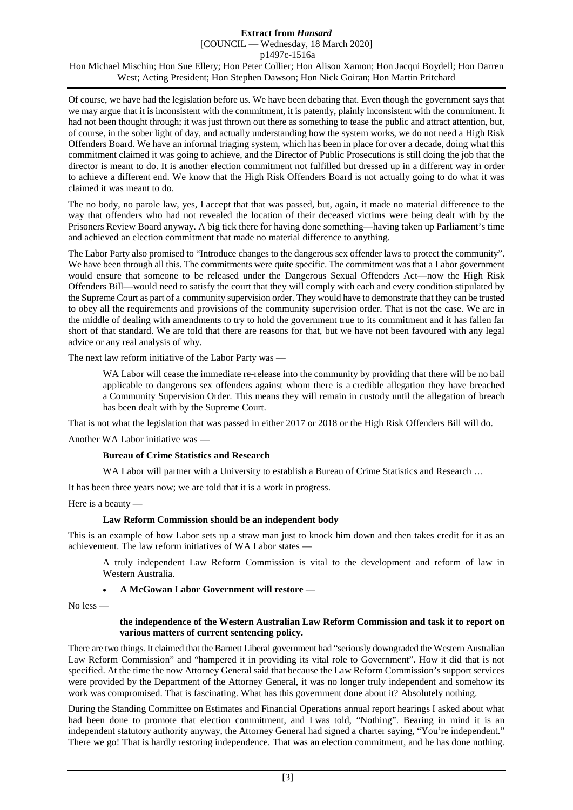[COUNCIL — Wednesday, 18 March 2020]

p1497c-1516a

Hon Michael Mischin; Hon Sue Ellery; Hon Peter Collier; Hon Alison Xamon; Hon Jacqui Boydell; Hon Darren West; Acting President; Hon Stephen Dawson; Hon Nick Goiran; Hon Martin Pritchard

Of course, we have had the legislation before us. We have been debating that. Even though the government says that we may argue that it is inconsistent with the commitment, it is patently, plainly inconsistent with the commitment. It had not been thought through; it was just thrown out there as something to tease the public and attract attention, but, of course, in the sober light of day, and actually understanding how the system works, we do not need a High Risk Offenders Board. We have an informal triaging system, which has been in place for over a decade, doing what this commitment claimed it was going to achieve, and the Director of Public Prosecutions is still doing the job that the director is meant to do. It is another election commitment not fulfilled but dressed up in a different way in order to achieve a different end. We know that the High Risk Offenders Board is not actually going to do what it was claimed it was meant to do.

The no body, no parole law, yes, I accept that that was passed, but, again, it made no material difference to the way that offenders who had not revealed the location of their deceased victims were being dealt with by the Prisoners Review Board anyway. A big tick there for having done something—having taken up Parliament's time and achieved an election commitment that made no material difference to anything.

The Labor Party also promised to "Introduce changes to the dangerous sex offender laws to protect the community". We have been through all this. The commitments were quite specific. The commitment was that a Labor government would ensure that someone to be released under the Dangerous Sexual Offenders Act—now the High Risk Offenders Bill—would need to satisfy the court that they will comply with each and every condition stipulated by the Supreme Court as part of a community supervision order. They would have to demonstrate that they can be trusted to obey all the requirements and provisions of the community supervision order. That is not the case. We are in the middle of dealing with amendments to try to hold the government true to its commitment and it has fallen far short of that standard. We are told that there are reasons for that, but we have not been favoured with any legal advice or any real analysis of why.

The next law reform initiative of the Labor Party was —

WA Labor will cease the immediate re-release into the community by providing that there will be no bail applicable to dangerous sex offenders against whom there is a credible allegation they have breached a Community Supervision Order. This means they will remain in custody until the allegation of breach has been dealt with by the Supreme Court.

That is not what the legislation that was passed in either 2017 or 2018 or the High Risk Offenders Bill will do.

Another WA Labor initiative was —

## **Bureau of Crime Statistics and Research**

WA Labor will partner with a University to establish a Bureau of Crime Statistics and Research ...

It has been three years now; we are told that it is a work in progress.

Here is a beauty —

## **Law Reform Commission should be an independent body**

This is an example of how Labor sets up a straw man just to knock him down and then takes credit for it as an achievement. The law reform initiatives of WA Labor states —

A truly independent Law Reform Commission is vital to the development and reform of law in Western Australia.

#### • **A McGowan Labor Government will restore** —

No less —

#### **the independence of the Western Australian Law Reform Commission and task it to report on various matters of current sentencing policy.**

There are two things. It claimed that the Barnett Liberal government had "seriously downgraded the Western Australian Law Reform Commission" and "hampered it in providing its vital role to Government". How it did that is not specified. At the time the now Attorney General said that because the Law Reform Commission's support services were provided by the Department of the Attorney General, it was no longer truly independent and somehow its work was compromised. That is fascinating. What has this government done about it? Absolutely nothing.

During the Standing Committee on Estimates and Financial Operations annual report hearings I asked about what had been done to promote that election commitment, and I was told, "Nothing". Bearing in mind it is an independent statutory authority anyway, the Attorney General had signed a charter saying, "You're independent." There we go! That is hardly restoring independence. That was an election commitment, and he has done nothing.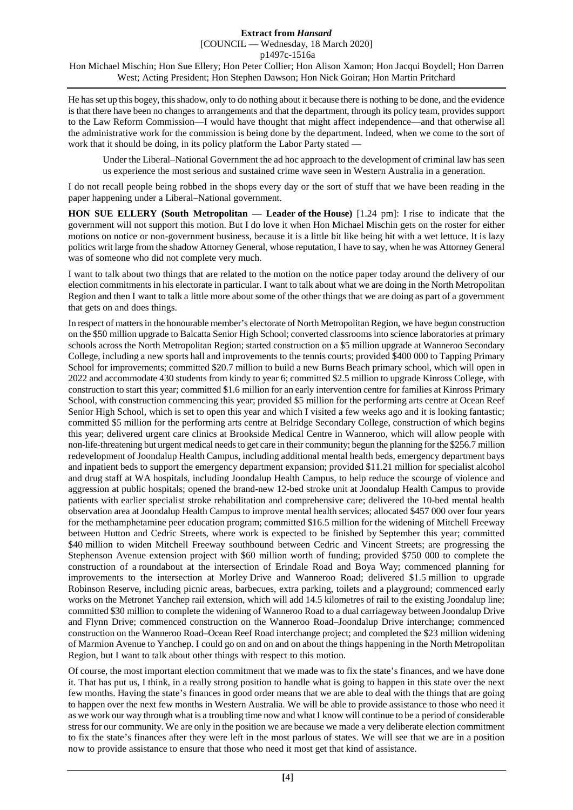He has set up this bogey, this shadow, only to do nothing about it because there is nothing to be done, and the evidence is that there have been no changes to arrangements and that the department, through its policy team, provides support to the Law Reform Commission—I would have thought that might affect independence—and that otherwise all the administrative work for the commission is being done by the department. Indeed, when we come to the sort of work that it should be doing, in its policy platform the Labor Party stated —

Under the Liberal–National Government the ad hoc approach to the development of criminal law has seen us experience the most serious and sustained crime wave seen in Western Australia in a generation.

I do not recall people being robbed in the shops every day or the sort of stuff that we have been reading in the paper happening under a Liberal–National government.

**HON SUE ELLERY (South Metropolitan — Leader of the House)** [1.24 pm]: I rise to indicate that the government will not support this motion. But I do love it when Hon Michael Mischin gets on the roster for either motions on notice or non-government business, because it is a little bit like being hit with a wet lettuce. It is lazy politics writ large from the shadow Attorney General, whose reputation, I have to say, when he was Attorney General was of someone who did not complete very much.

I want to talk about two things that are related to the motion on the notice paper today around the delivery of our election commitments in his electorate in particular. I want to talk about what we are doing in the North Metropolitan Region and then I want to talk a little more about some of the other things that we are doing as part of a government that gets on and does things.

In respect of matters in the honourable member's electorate of North Metropolitan Region, we have begun construction on the \$50 million upgrade to Balcatta Senior High School; converted classrooms into science laboratories at primary schools across the North Metropolitan Region; started construction on a \$5 million upgrade at Wanneroo Secondary College, including a new sports hall and improvements to the tennis courts; provided \$400 000 to Tapping Primary School for improvements; committed \$20.7 million to build a new Burns Beach primary school, which will open in 2022 and accommodate 430 students from kindy to year 6; committed \$2.5 million to upgrade Kinross College, with construction to start this year; committed \$1.6 million for an early intervention centre for families at Kinross Primary School, with construction commencing this year; provided \$5 million for the performing arts centre at Ocean Reef Senior High School, which is set to open this year and which I visited a few weeks ago and it is looking fantastic; committed \$5 million for the performing arts centre at Belridge Secondary College, construction of which begins this year; delivered urgent care clinics at Brookside Medical Centre in Wanneroo, which will allow people with non-life-threatening but urgent medical needs to get care in their community; begun the planning for the \$256.7 million redevelopment of Joondalup Health Campus, including additional mental health beds, emergency department bays and inpatient beds to support the emergency department expansion; provided \$11.21 million for specialist alcohol and drug staff at WA hospitals, including Joondalup Health Campus, to help reduce the scourge of violence and aggression at public hospitals; opened the brand-new 12-bed stroke unit at Joondalup Health Campus to provide patients with earlier specialist stroke rehabilitation and comprehensive care; delivered the 10-bed mental health observation area at Joondalup Health Campus to improve mental health services; allocated \$457 000 over four years for the methamphetamine peer education program; committed \$16.5 million for the widening of Mitchell Freeway between Hutton and Cedric Streets, where work is expected to be finished by September this year; committed \$40 million to widen Mitchell Freeway southbound between Cedric and Vincent Streets; are progressing the Stephenson Avenue extension project with \$60 million worth of funding; provided \$750 000 to complete the construction of a roundabout at the intersection of Erindale Road and Boya Way; commenced planning for improvements to the intersection at Morley Drive and Wanneroo Road; delivered \$1.5 million to upgrade Robinson Reserve, including picnic areas, barbecues, extra parking, toilets and a playground; commenced early works on the Metronet Yanchep rail extension, which will add 14.5 kilometres of rail to the existing Joondalup line; committed \$30 million to complete the widening of Wanneroo Road to a dual carriageway between Joondalup Drive and Flynn Drive; commenced construction on the Wanneroo Road–Joondalup Drive interchange; commenced construction on the Wanneroo Road–Ocean Reef Road interchange project; and completed the \$23 million widening of Marmion Avenue to Yanchep. I could go on and on and on about the things happening in the North Metropolitan Region, but I want to talk about other things with respect to this motion.

Of course, the most important election commitment that we made was to fix the state's finances, and we have done it. That has put us, I think, in a really strong position to handle what is going to happen in this state over the next few months. Having the state's finances in good order means that we are able to deal with the things that are going to happen over the next few months in Western Australia. We will be able to provide assistance to those who need it as we work our way through what is a troubling time now and what I know will continue to be a period of considerable stress for our community. We are only in the position we are because we made a very deliberate election commitment to fix the state's finances after they were left in the most parlous of states. We will see that we are in a position now to provide assistance to ensure that those who need it most get that kind of assistance.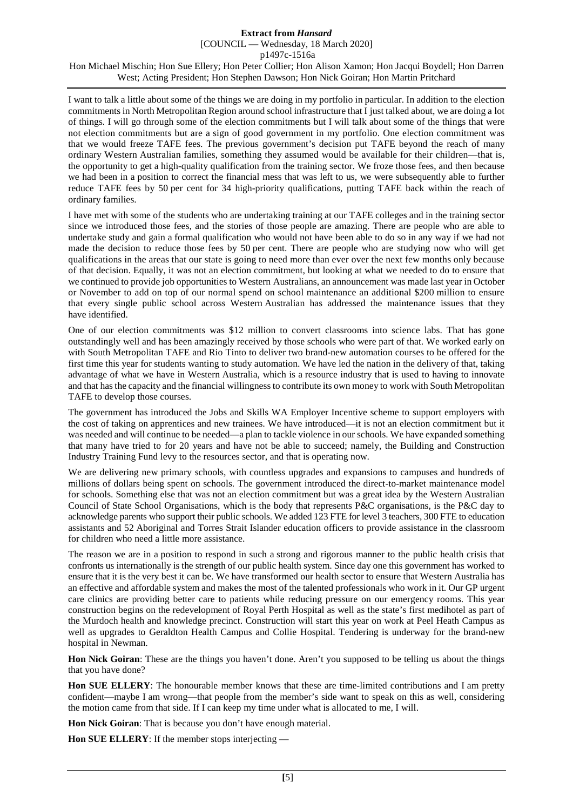[COUNCIL — Wednesday, 18 March 2020]

p1497c-1516a

Hon Michael Mischin; Hon Sue Ellery; Hon Peter Collier; Hon Alison Xamon; Hon Jacqui Boydell; Hon Darren West; Acting President; Hon Stephen Dawson; Hon Nick Goiran; Hon Martin Pritchard

I want to talk a little about some of the things we are doing in my portfolio in particular. In addition to the election commitments in North Metropolitan Region around school infrastructure that I just talked about, we are doing a lot of things. I will go through some of the election commitments but I will talk about some of the things that were not election commitments but are a sign of good government in my portfolio. One election commitment was that we would freeze TAFE fees. The previous government's decision put TAFE beyond the reach of many ordinary Western Australian families, something they assumed would be available for their children—that is, the opportunity to get a high-quality qualification from the training sector. We froze those fees, and then because we had been in a position to correct the financial mess that was left to us, we were subsequently able to further reduce TAFE fees by 50 per cent for 34 high-priority qualifications, putting TAFE back within the reach of ordinary families.

I have met with some of the students who are undertaking training at our TAFE colleges and in the training sector since we introduced those fees, and the stories of those people are amazing. There are people who are able to undertake study and gain a formal qualification who would not have been able to do so in any way if we had not made the decision to reduce those fees by 50 per cent. There are people who are studying now who will get qualifications in the areas that our state is going to need more than ever over the next few months only because of that decision. Equally, it was not an election commitment, but looking at what we needed to do to ensure that we continued to provide job opportunities to Western Australians, an announcement was made last year in October or November to add on top of our normal spend on school maintenance an additional \$200 million to ensure that every single public school across Western Australian has addressed the maintenance issues that they have identified.

One of our election commitments was \$12 million to convert classrooms into science labs. That has gone outstandingly well and has been amazingly received by those schools who were part of that. We worked early on with South Metropolitan TAFE and Rio Tinto to deliver two brand-new automation courses to be offered for the first time this year for students wanting to study automation. We have led the nation in the delivery of that, taking advantage of what we have in Western Australia, which is a resource industry that is used to having to innovate and that has the capacity and the financial willingness to contribute its own money to work with South Metropolitan TAFE to develop those courses.

The government has introduced the Jobs and Skills WA Employer Incentive scheme to support employers with the cost of taking on apprentices and new trainees. We have introduced—it is not an election commitment but it was needed and will continue to be needed—a plan to tackle violence in our schools. We have expanded something that many have tried to for 20 years and have not be able to succeed; namely, the Building and Construction Industry Training Fund levy to the resources sector, and that is operating now.

We are delivering new primary schools, with countless upgrades and expansions to campuses and hundreds of millions of dollars being spent on schools. The government introduced the direct-to-market maintenance model for schools. Something else that was not an election commitment but was a great idea by the Western Australian Council of State School Organisations, which is the body that represents P&C organisations, is the P&C day to acknowledge parents who support their public schools. We added 123 FTE for level 3 teachers, 300 FTE to education assistants and 52 Aboriginal and Torres Strait Islander education officers to provide assistance in the classroom for children who need a little more assistance.

The reason we are in a position to respond in such a strong and rigorous manner to the public health crisis that confronts us internationally is the strength of our public health system. Since day one this government has worked to ensure that it is the very best it can be. We have transformed our health sector to ensure that Western Australia has an effective and affordable system and makes the most of the talented professionals who work in it. Our GP urgent care clinics are providing better care to patients while reducing pressure on our emergency rooms. This year construction begins on the redevelopment of Royal Perth Hospital as well as the state's first medihotel as part of the Murdoch health and knowledge precinct. Construction will start this year on work at Peel Heath Campus as well as upgrades to Geraldton Health Campus and Collie Hospital. Tendering is underway for the brand-new hospital in Newman.

**Hon Nick Goiran**: These are the things you haven't done. Aren't you supposed to be telling us about the things that you have done?

**Hon SUE ELLERY**: The honourable member knows that these are time-limited contributions and I am pretty confident—maybe I am wrong—that people from the member's side want to speak on this as well, considering the motion came from that side. If I can keep my time under what is allocated to me, I will.

**Hon Nick Goiran**: That is because you don't have enough material.

**Hon SUE ELLERY**: If the member stops interjecting —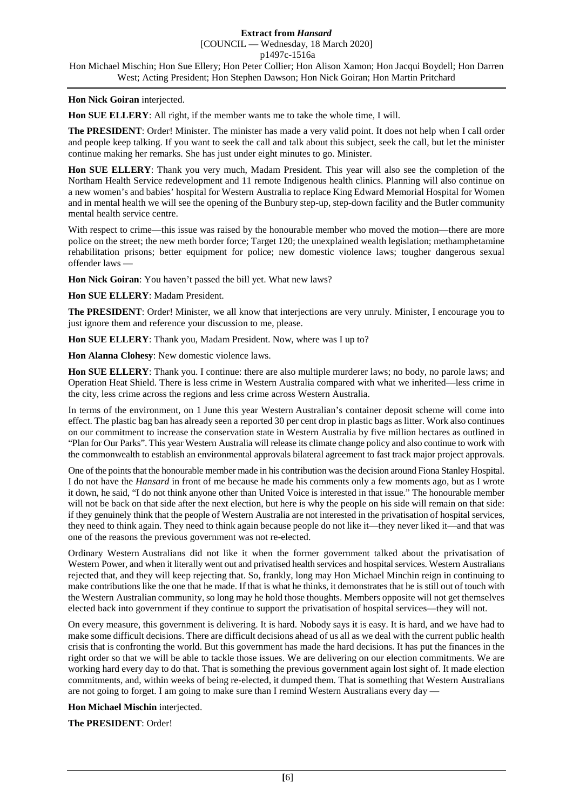### **Hon Nick Goiran** interjected.

**Hon SUE ELLERY**: All right, if the member wants me to take the whole time, I will.

**The PRESIDENT**: Order! Minister. The minister has made a very valid point. It does not help when I call order and people keep talking. If you want to seek the call and talk about this subject, seek the call, but let the minister continue making her remarks. She has just under eight minutes to go. Minister.

**Hon SUE ELLERY**: Thank you very much, Madam President. This year will also see the completion of the Northam Health Service redevelopment and 11 remote Indigenous health clinics. Planning will also continue on a new women's and babies' hospital for Western Australia to replace King Edward Memorial Hospital for Women and in mental health we will see the opening of the Bunbury step-up, step-down facility and the Butler community mental health service centre.

With respect to crime—this issue was raised by the honourable member who moved the motion—there are more police on the street; the new meth border force; Target 120; the unexplained wealth legislation; methamphetamine rehabilitation prisons; better equipment for police; new domestic violence laws; tougher dangerous sexual offender laws —

**Hon Nick Goiran**: You haven't passed the bill yet. What new laws?

**Hon SUE ELLERY**: Madam President.

**The PRESIDENT**: Order! Minister, we all know that interjections are very unruly. Minister, I encourage you to just ignore them and reference your discussion to me, please.

**Hon SUE ELLERY**: Thank you, Madam President. Now, where was I up to?

**Hon Alanna Clohesy**: New domestic violence laws.

**Hon SUE ELLERY**: Thank you. I continue: there are also multiple murderer laws; no body, no parole laws; and Operation Heat Shield. There is less crime in Western Australia compared with what we inherited—less crime in the city, less crime across the regions and less crime across Western Australia.

In terms of the environment, on 1 June this year Western Australian's container deposit scheme will come into effect. The plastic bag ban has already seen a reported 30 per cent drop in plastic bags as litter. Work also continues on our commitment to increase the conservation state in Western Australia by five million hectares as outlined in "Plan for Our Parks". This year Western Australia will release its climate change policy and also continue to work with the commonwealth to establish an environmental approvals bilateral agreement to fast track major project approvals.

One of the points that the honourable member made in his contribution was the decision around Fiona Stanley Hospital. I do not have the *Hansard* in front of me because he made his comments only a few moments ago, but as I wrote it down, he said, "I do not think anyone other than United Voice is interested in that issue." The honourable member will not be back on that side after the next election, but here is why the people on his side will remain on that side: if they genuinely think that the people of Western Australia are not interested in the privatisation of hospital services, they need to think again. They need to think again because people do not like it—they never liked it—and that was one of the reasons the previous government was not re-elected.

Ordinary Western Australians did not like it when the former government talked about the privatisation of Western Power, and when it literally went out and privatised health services and hospital services. Western Australians rejected that, and they will keep rejecting that. So, frankly, long may Hon Michael Minchin reign in continuing to make contributions like the one that he made. If that is what he thinks, it demonstrates that he is still out of touch with the Western Australian community, so long may he hold those thoughts. Members opposite will not get themselves elected back into government if they continue to support the privatisation of hospital services—they will not.

On every measure, this government is delivering. It is hard. Nobody says it is easy. It is hard, and we have had to make some difficult decisions. There are difficult decisions ahead of us all as we deal with the current public health crisis that is confronting the world. But this government has made the hard decisions. It has put the finances in the right order so that we will be able to tackle those issues. We are delivering on our election commitments. We are working hard every day to do that. That is something the previous government again lost sight of. It made election commitments, and, within weeks of being re-elected, it dumped them. That is something that Western Australians are not going to forget. I am going to make sure than I remind Western Australians every day —

**Hon Michael Mischin** interjected.

**The PRESIDENT**: Order!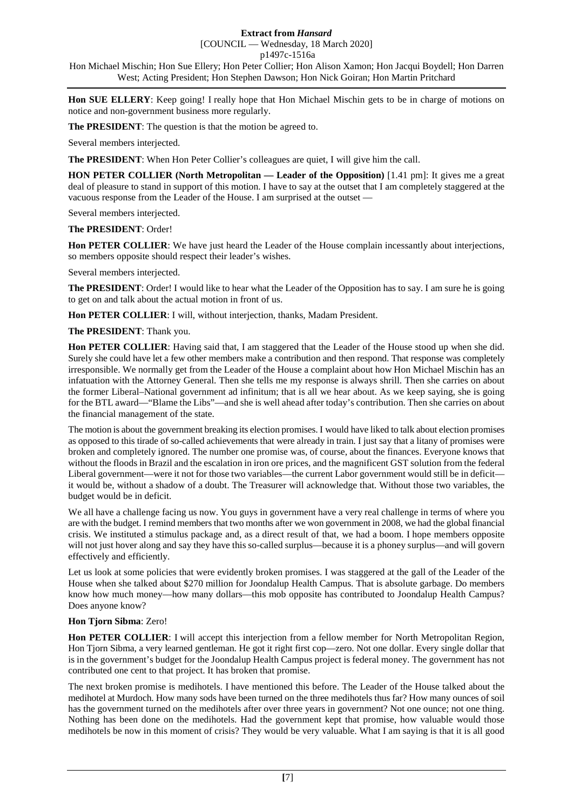## [COUNCIL — Wednesday, 18 March 2020]

p1497c-1516a

Hon Michael Mischin; Hon Sue Ellery; Hon Peter Collier; Hon Alison Xamon; Hon Jacqui Boydell; Hon Darren West; Acting President; Hon Stephen Dawson; Hon Nick Goiran; Hon Martin Pritchard

**Hon SUE ELLERY**: Keep going! I really hope that Hon Michael Mischin gets to be in charge of motions on notice and non-government business more regularly.

**The PRESIDENT**: The question is that the motion be agreed to.

Several members interjected.

**The PRESIDENT**: When Hon Peter Collier's colleagues are quiet, I will give him the call.

**HON PETER COLLIER (North Metropolitan — Leader of the Opposition)** [1.41 pm]: It gives me a great deal of pleasure to stand in support of this motion. I have to say at the outset that I am completely staggered at the vacuous response from the Leader of the House. I am surprised at the outset —

Several members interjected.

### **The PRESIDENT**: Order!

**Hon PETER COLLIER**: We have just heard the Leader of the House complain incessantly about interjections, so members opposite should respect their leader's wishes.

Several members interjected.

**The PRESIDENT**: Order! I would like to hear what the Leader of the Opposition has to say. I am sure he is going to get on and talk about the actual motion in front of us.

**Hon PETER COLLIER**: I will, without interjection, thanks, Madam President.

**The PRESIDENT**: Thank you.

**Hon PETER COLLIER**: Having said that, I am staggered that the Leader of the House stood up when she did. Surely she could have let a few other members make a contribution and then respond. That response was completely irresponsible. We normally get from the Leader of the House a complaint about how Hon Michael Mischin has an infatuation with the Attorney General. Then she tells me my response is always shrill. Then she carries on about the former Liberal–National government ad infinitum; that is all we hear about. As we keep saying, she is going for the BTL award—"Blame the Libs"—and she is well ahead after today's contribution. Then she carries on about the financial management of the state.

The motion is about the government breaking its election promises. I would have liked to talk about election promises as opposed to this tirade of so-called achievements that were already in train. I just say that a litany of promises were broken and completely ignored. The number one promise was, of course, about the finances. Everyone knows that without the floods in Brazil and the escalation in iron ore prices, and the magnificent GST solution from the federal Liberal government—were it not for those two variables—the current Labor government would still be in deficit it would be, without a shadow of a doubt. The Treasurer will acknowledge that. Without those two variables, the budget would be in deficit.

We all have a challenge facing us now. You guys in government have a very real challenge in terms of where you are with the budget. I remind members that two months after we won government in 2008, we had the global financial crisis. We instituted a stimulus package and, as a direct result of that, we had a boom. I hope members opposite will not just hover along and say they have this so-called surplus—because it is a phoney surplus—and will govern effectively and efficiently.

Let us look at some policies that were evidently broken promises. I was staggered at the gall of the Leader of the House when she talked about \$270 million for Joondalup Health Campus. That is absolute garbage. Do members know how much money—how many dollars—this mob opposite has contributed to Joondalup Health Campus? Does anyone know?

## **Hon Tjorn Sibma**: Zero!

**Hon PETER COLLIER**: I will accept this interjection from a fellow member for North Metropolitan Region, Hon Tjorn Sibma, a very learned gentleman. He got it right first cop—zero. Not one dollar. Every single dollar that is in the government's budget for the Joondalup Health Campus project is federal money. The government has not contributed one cent to that project. It has broken that promise.

The next broken promise is medihotels. I have mentioned this before. The Leader of the House talked about the medihotel at Murdoch. How many sods have been turned on the three medihotels thus far? How many ounces of soil has the government turned on the medihotels after over three years in government? Not one ounce; not one thing. Nothing has been done on the medihotels. Had the government kept that promise, how valuable would those medihotels be now in this moment of crisis? They would be very valuable. What I am saying is that it is all good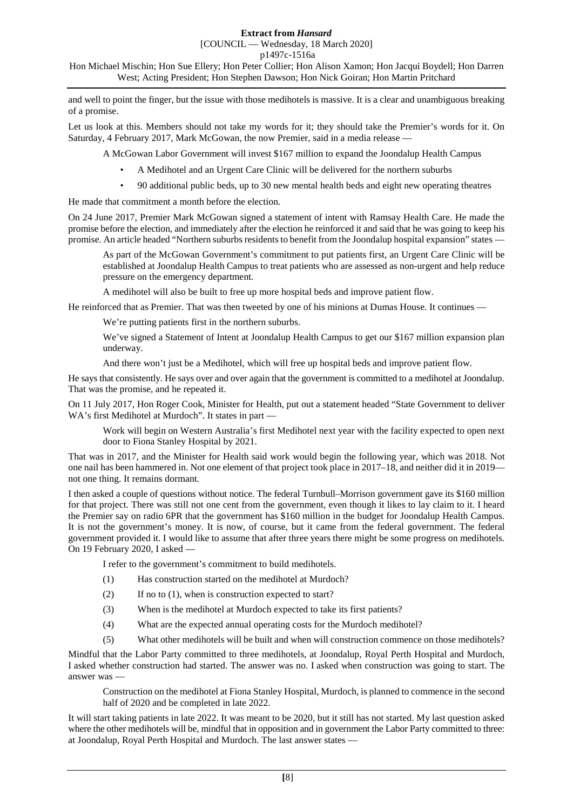[COUNCIL — Wednesday, 18 March 2020]

p1497c-1516a

Hon Michael Mischin; Hon Sue Ellery; Hon Peter Collier; Hon Alison Xamon; Hon Jacqui Boydell; Hon Darren West; Acting President; Hon Stephen Dawson; Hon Nick Goiran; Hon Martin Pritchard

and well to point the finger, but the issue with those medihotels is massive. It is a clear and unambiguous breaking of a promise.

Let us look at this. Members should not take my words for it; they should take the Premier's words for it. On Saturday, 4 February 2017, Mark McGowan, the now Premier, said in a media release —

A McGowan Labor Government will invest \$167 million to expand the Joondalup Health Campus

- A Medihotel and an Urgent Care Clinic will be delivered for the northern suburbs
- 90 additional public beds, up to 30 new mental health beds and eight new operating theatres

He made that commitment a month before the election.

On 24 June 2017, Premier Mark McGowan signed a statement of intent with Ramsay Health Care. He made the promise before the election, and immediately after the election he reinforced it and said that he was going to keep his promise. An article headed "Northern suburbs residents to benefit from the Joondalup hospital expansion" states —

As part of the McGowan Government's commitment to put patients first, an Urgent Care Clinic will be established at Joondalup Health Campus to treat patients who are assessed as non-urgent and help reduce pressure on the emergency department.

A medihotel will also be built to free up more hospital beds and improve patient flow.

He reinforced that as Premier. That was then tweeted by one of his minions at Dumas House. It continues —

We're putting patients first in the northern suburbs.

We've signed a Statement of Intent at Joondalup Health Campus to get our \$167 million expansion plan underway.

And there won't just be a Medihotel, which will free up hospital beds and improve patient flow.

He says that consistently. He says over and over again that the government is committed to a medihotel at Joondalup. That was the promise, and he repeated it.

On 11 July 2017, Hon Roger Cook, Minister for Health, put out a statement headed "State Government to deliver WA's first Medihotel at Murdoch". It states in part —

Work will begin on Western Australia's first Medihotel next year with the facility expected to open next door to Fiona Stanley Hospital by 2021.

That was in 2017, and the Minister for Health said work would begin the following year, which was 2018. Not one nail has been hammered in. Not one element of that project took place in 2017–18, and neither did it in 2019 not one thing. It remains dormant.

I then asked a couple of questions without notice. The federal Turnbull–Morrison government gave its \$160 million for that project. There was still not one cent from the government, even though it likes to lay claim to it. I heard the Premier say on radio 6PR that the government has \$160 million in the budget for Joondalup Health Campus. It is not the government's money. It is now, of course, but it came from the federal government. The federal government provided it. I would like to assume that after three years there might be some progress on medihotels. On 19 February 2020, I asked -

I refer to the government's commitment to build medihotels.

- (1) Has construction started on the medihotel at Murdoch?
- (2) If no to (1), when is construction expected to start?
- (3) When is the medihotel at Murdoch expected to take its first patients?
- (4) What are the expected annual operating costs for the Murdoch medihotel?
- (5) What other medihotels will be built and when will construction commence on those medihotels?

Mindful that the Labor Party committed to three medihotels, at Joondalup, Royal Perth Hospital and Murdoch, I asked whether construction had started. The answer was no. I asked when construction was going to start. The answer was —

Construction on the medihotel at Fiona Stanley Hospital, Murdoch, is planned to commence in the second half of 2020 and be completed in late 2022.

It will start taking patients in late 2022. It was meant to be 2020, but it still has not started. My last question asked where the other medihotels will be, mindful that in opposition and in government the Labor Party committed to three: at Joondalup, Royal Perth Hospital and Murdoch. The last answer states —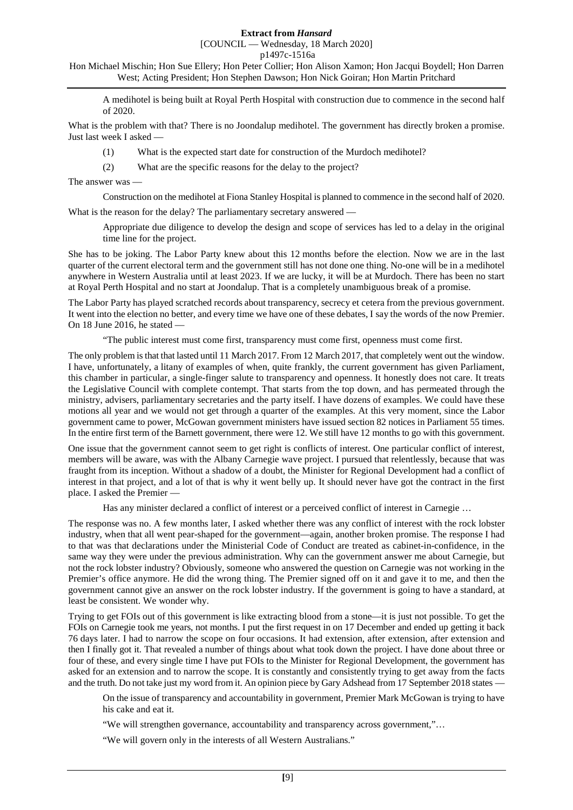# [COUNCIL — Wednesday, 18 March 2020]

p1497c-1516a

Hon Michael Mischin; Hon Sue Ellery; Hon Peter Collier; Hon Alison Xamon; Hon Jacqui Boydell; Hon Darren West; Acting President; Hon Stephen Dawson; Hon Nick Goiran; Hon Martin Pritchard

A medihotel is being built at Royal Perth Hospital with construction due to commence in the second half of 2020.

What is the problem with that? There is no Joondalup medihotel. The government has directly broken a promise. Just last week I asked —

- (1) What is the expected start date for construction of the Murdoch medihotel?
- (2) What are the specific reasons for the delay to the project?

The answer was —

Construction on the medihotel at Fiona Stanley Hospital is planned to commence in the second half of 2020.

What is the reason for the delay? The parliamentary secretary answered —

Appropriate due diligence to develop the design and scope of services has led to a delay in the original time line for the project.

She has to be joking. The Labor Party knew about this 12 months before the election. Now we are in the last quarter of the current electoral term and the government still has not done one thing. No-one will be in a medihotel anywhere in Western Australia until at least 2023. If we are lucky, it will be at Murdoch. There has been no start at Royal Perth Hospital and no start at Joondalup. That is a completely unambiguous break of a promise.

The Labor Party has played scratched records about transparency, secrecy et cetera from the previous government. It went into the election no better, and every time we have one of these debates, I say the words of the now Premier. On 18 June 2016, he stated —

"The public interest must come first, transparency must come first, openness must come first.

The only problem is that that lasted until 11 March 2017. From 12 March 2017, that completely went out the window. I have, unfortunately, a litany of examples of when, quite frankly, the current government has given Parliament, this chamber in particular, a single-finger salute to transparency and openness. It honestly does not care. It treats the Legislative Council with complete contempt. That starts from the top down, and has permeated through the ministry, advisers, parliamentary secretaries and the party itself. I have dozens of examples. We could have these motions all year and we would not get through a quarter of the examples. At this very moment, since the Labor government came to power, McGowan government ministers have issued section 82 notices in Parliament 55 times. In the entire first term of the Barnett government, there were 12. We still have 12 months to go with this government.

One issue that the government cannot seem to get right is conflicts of interest. One particular conflict of interest, members will be aware, was with the Albany Carnegie wave project. I pursued that relentlessly, because that was fraught from its inception. Without a shadow of a doubt, the Minister for Regional Development had a conflict of interest in that project, and a lot of that is why it went belly up. It should never have got the contract in the first place. I asked the Premier —

Has any minister declared a conflict of interest or a perceived conflict of interest in Carnegie …

The response was no. A few months later, I asked whether there was any conflict of interest with the rock lobster industry, when that all went pear-shaped for the government—again, another broken promise. The response I had to that was that declarations under the Ministerial Code of Conduct are treated as cabinet-in-confidence, in the same way they were under the previous administration. Why can the government answer me about Carnegie, but not the rock lobster industry? Obviously, someone who answered the question on Carnegie was not working in the Premier's office anymore. He did the wrong thing. The Premier signed off on it and gave it to me, and then the government cannot give an answer on the rock lobster industry. If the government is going to have a standard, at least be consistent. We wonder why.

Trying to get FOIs out of this government is like extracting blood from a stone—it is just not possible. To get the FOIs on Carnegie took me years, not months. I put the first request in on 17 December and ended up getting it back 76 days later. I had to narrow the scope on four occasions. It had extension, after extension, after extension and then I finally got it. That revealed a number of things about what took down the project. I have done about three or four of these, and every single time I have put FOIs to the Minister for Regional Development, the government has asked for an extension and to narrow the scope. It is constantly and consistently trying to get away from the facts and the truth. Do not take just my word from it. An opinion piece by Gary Adshead from 17 September 2018 states —

On the issue of transparency and accountability in government, Premier Mark McGowan is trying to have his cake and eat it.

"We will strengthen governance, accountability and transparency across government,"…

"We will govern only in the interests of all Western Australians."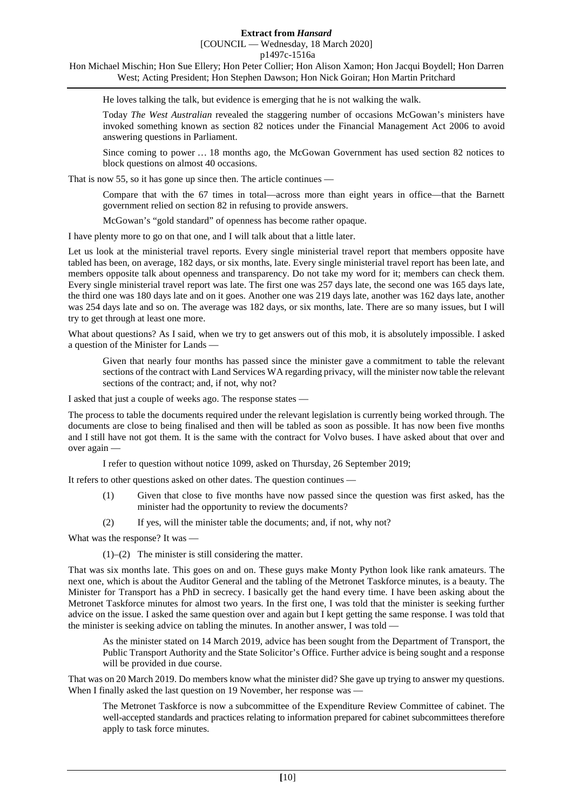[COUNCIL — Wednesday, 18 March 2020]

p1497c-1516a

Hon Michael Mischin; Hon Sue Ellery; Hon Peter Collier; Hon Alison Xamon; Hon Jacqui Boydell; Hon Darren West; Acting President; Hon Stephen Dawson; Hon Nick Goiran; Hon Martin Pritchard

He loves talking the talk, but evidence is emerging that he is not walking the walk.

Today *The West Australian* revealed the staggering number of occasions McGowan's ministers have invoked something known as section 82 notices under the Financial Management Act 2006 to avoid answering questions in Parliament.

Since coming to power … 18 months ago, the McGowan Government has used section 82 notices to block questions on almost 40 occasions.

That is now 55, so it has gone up since then. The article continues —

Compare that with the 67 times in total—across more than eight years in office—that the Barnett government relied on section 82 in refusing to provide answers.

McGowan's "gold standard" of openness has become rather opaque.

I have plenty more to go on that one, and I will talk about that a little later.

Let us look at the ministerial travel reports. Every single ministerial travel report that members opposite have tabled has been, on average, 182 days, or six months, late. Every single ministerial travel report has been late, and members opposite talk about openness and transparency. Do not take my word for it; members can check them. Every single ministerial travel report was late. The first one was 257 days late, the second one was 165 days late, the third one was 180 days late and on it goes. Another one was 219 days late, another was 162 days late, another was 254 days late and so on. The average was 182 days, or six months, late. There are so many issues, but I will try to get through at least one more.

What about questions? As I said, when we try to get answers out of this mob, it is absolutely impossible. I asked a question of the Minister for Lands —

Given that nearly four months has passed since the minister gave a commitment to table the relevant sections of the contract with Land Services WA regarding privacy, will the minister now table the relevant sections of the contract; and, if not, why not?

I asked that just a couple of weeks ago. The response states —

The process to table the documents required under the relevant legislation is currently being worked through. The documents are close to being finalised and then will be tabled as soon as possible. It has now been five months and I still have not got them. It is the same with the contract for Volvo buses. I have asked about that over and over again —

I refer to question without notice 1099, asked on Thursday, 26 September 2019;

It refers to other questions asked on other dates. The question continues —

- (1) Given that close to five months have now passed since the question was first asked, has the minister had the opportunity to review the documents?
- (2) If yes, will the minister table the documents; and, if not, why not?

What was the response? It was —

(1)–(2) The minister is still considering the matter.

That was six months late. This goes on and on. These guys make Monty Python look like rank amateurs. The next one, which is about the Auditor General and the tabling of the Metronet Taskforce minutes, is a beauty. The Minister for Transport has a PhD in secrecy. I basically get the hand every time. I have been asking about the Metronet Taskforce minutes for almost two years. In the first one, I was told that the minister is seeking further advice on the issue. I asked the same question over and again but I kept getting the same response. I was told that the minister is seeking advice on tabling the minutes. In another answer, I was told -

As the minister stated on 14 March 2019, advice has been sought from the Department of Transport, the Public Transport Authority and the State Solicitor's Office. Further advice is being sought and a response will be provided in due course.

That was on 20 March 2019. Do members know what the minister did? She gave up trying to answer my questions. When I finally asked the last question on 19 November, her response was -

The Metronet Taskforce is now a subcommittee of the Expenditure Review Committee of cabinet. The well-accepted standards and practices relating to information prepared for cabinet subcommittees therefore apply to task force minutes.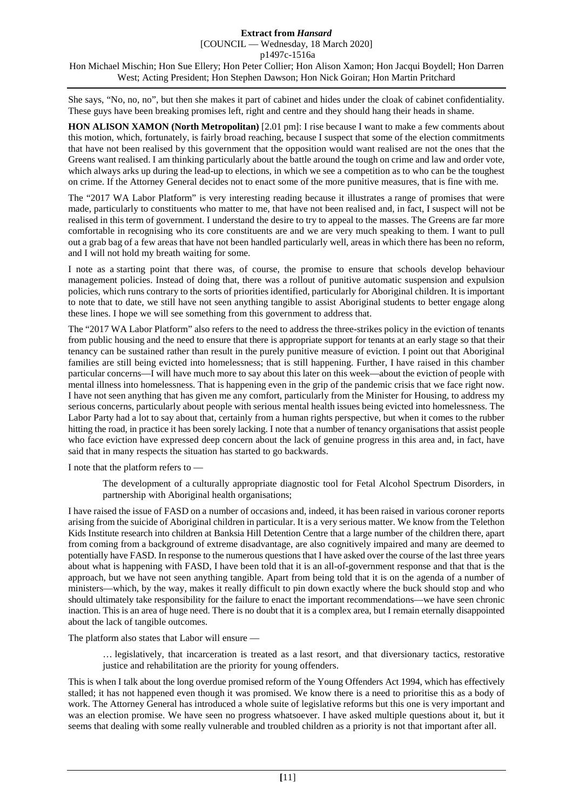She says, "No, no, no", but then she makes it part of cabinet and hides under the cloak of cabinet confidentiality. These guys have been breaking promises left, right and centre and they should hang their heads in shame.

**HON ALISON XAMON (North Metropolitan)** [2.01 pm]: I rise because I want to make a few comments about this motion, which, fortunately, is fairly broad reaching, because I suspect that some of the election commitments that have not been realised by this government that the opposition would want realised are not the ones that the Greens want realised. I am thinking particularly about the battle around the tough on crime and law and order vote, which always arks up during the lead-up to elections, in which we see a competition as to who can be the toughest on crime. If the Attorney General decides not to enact some of the more punitive measures, that is fine with me.

The "2017 WA Labor Platform" is very interesting reading because it illustrates a range of promises that were made, particularly to constituents who matter to me, that have not been realised and, in fact, I suspect will not be realised in this term of government. I understand the desire to try to appeal to the masses. The Greens are far more comfortable in recognising who its core constituents are and we are very much speaking to them. I want to pull out a grab bag of a few areas that have not been handled particularly well, areas in which there has been no reform, and I will not hold my breath waiting for some.

I note as a starting point that there was, of course, the promise to ensure that schools develop behaviour management policies. Instead of doing that, there was a rollout of punitive automatic suspension and expulsion policies, which runs contrary to the sorts of priorities identified, particularly for Aboriginal children. It is important to note that to date, we still have not seen anything tangible to assist Aboriginal students to better engage along these lines. I hope we will see something from this government to address that.

The "2017 WA Labor Platform" also refers to the need to address the three-strikes policy in the eviction of tenants from public housing and the need to ensure that there is appropriate support for tenants at an early stage so that their tenancy can be sustained rather than result in the purely punitive measure of eviction. I point out that Aboriginal families are still being evicted into homelessness; that is still happening. Further, I have raised in this chamber particular concerns—I will have much more to say about this later on this week—about the eviction of people with mental illness into homelessness. That is happening even in the grip of the pandemic crisis that we face right now. I have not seen anything that has given me any comfort, particularly from the Minister for Housing, to address my serious concerns, particularly about people with serious mental health issues being evicted into homelessness. The Labor Party had a lot to say about that, certainly from a human rights perspective, but when it comes to the rubber hitting the road, in practice it has been sorely lacking. I note that a number of tenancy organisations that assist people who face eviction have expressed deep concern about the lack of genuine progress in this area and, in fact, have said that in many respects the situation has started to go backwards.

I note that the platform refers to —

The development of a culturally appropriate diagnostic tool for Fetal Alcohol Spectrum Disorders, in partnership with Aboriginal health organisations;

I have raised the issue of FASD on a number of occasions and, indeed, it has been raised in various coroner reports arising from the suicide of Aboriginal children in particular. It is a very serious matter. We know from the Telethon Kids Institute research into children at Banksia Hill Detention Centre that a large number of the children there, apart from coming from a background of extreme disadvantage, are also cognitively impaired and many are deemed to potentially have FASD. In response to the numerous questions that I have asked over the course of the last three years about what is happening with FASD, I have been told that it is an all-of-government response and that that is the approach, but we have not seen anything tangible. Apart from being told that it is on the agenda of a number of ministers—which, by the way, makes it really difficult to pin down exactly where the buck should stop and who should ultimately take responsibility for the failure to enact the important recommendations—we have seen chronic inaction. This is an area of huge need. There is no doubt that it is a complex area, but I remain eternally disappointed about the lack of tangible outcomes.

The platform also states that Labor will ensure —

… legislatively, that incarceration is treated as a last resort, and that diversionary tactics, restorative justice and rehabilitation are the priority for young offenders.

This is when I talk about the long overdue promised reform of the Young Offenders Act 1994, which has effectively stalled; it has not happened even though it was promised. We know there is a need to prioritise this as a body of work. The Attorney General has introduced a whole suite of legislative reforms but this one is very important and was an election promise. We have seen no progress whatsoever. I have asked multiple questions about it, but it seems that dealing with some really vulnerable and troubled children as a priority is not that important after all.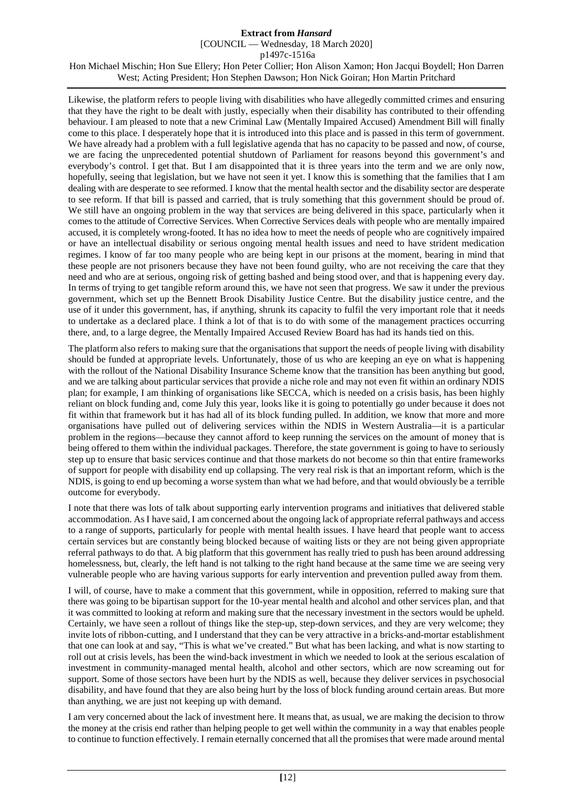[COUNCIL — Wednesday, 18 March 2020]

p1497c-1516a

Hon Michael Mischin; Hon Sue Ellery; Hon Peter Collier; Hon Alison Xamon; Hon Jacqui Boydell; Hon Darren West; Acting President; Hon Stephen Dawson; Hon Nick Goiran; Hon Martin Pritchard

Likewise, the platform refers to people living with disabilities who have allegedly committed crimes and ensuring that they have the right to be dealt with justly, especially when their disability has contributed to their offending behaviour. I am pleased to note that a new Criminal Law (Mentally Impaired Accused) Amendment Bill will finally come to this place. I desperately hope that it is introduced into this place and is passed in this term of government. We have already had a problem with a full legislative agenda that has no capacity to be passed and now, of course, we are facing the unprecedented potential shutdown of Parliament for reasons beyond this government's and everybody's control. I get that. But I am disappointed that it is three years into the term and we are only now, hopefully, seeing that legislation, but we have not seen it yet. I know this is something that the families that I am dealing with are desperate to see reformed. I know that the mental health sector and the disability sector are desperate to see reform. If that bill is passed and carried, that is truly something that this government should be proud of. We still have an ongoing problem in the way that services are being delivered in this space, particularly when it comes to the attitude of Corrective Services. When Corrective Services deals with people who are mentally impaired accused, it is completely wrong-footed. It has no idea how to meet the needs of people who are cognitively impaired or have an intellectual disability or serious ongoing mental health issues and need to have strident medication regimes. I know of far too many people who are being kept in our prisons at the moment, bearing in mind that these people are not prisoners because they have not been found guilty, who are not receiving the care that they need and who are at serious, ongoing risk of getting bashed and being stood over, and that is happening every day. In terms of trying to get tangible reform around this, we have not seen that progress. We saw it under the previous government, which set up the Bennett Brook Disability Justice Centre. But the disability justice centre, and the use of it under this government, has, if anything, shrunk its capacity to fulfil the very important role that it needs to undertake as a declared place. I think a lot of that is to do with some of the management practices occurring there, and, to a large degree, the Mentally Impaired Accused Review Board has had its hands tied on this.

The platform also refers to making sure that the organisations that support the needs of people living with disability should be funded at appropriate levels. Unfortunately, those of us who are keeping an eye on what is happening with the rollout of the National Disability Insurance Scheme know that the transition has been anything but good, and we are talking about particular services that provide a niche role and may not even fit within an ordinary NDIS plan; for example, I am thinking of organisations like SECCA, which is needed on a crisis basis, has been highly reliant on block funding and, come July this year, looks like it is going to potentially go under because it does not fit within that framework but it has had all of its block funding pulled. In addition, we know that more and more organisations have pulled out of delivering services within the NDIS in Western Australia—it is a particular problem in the regions—because they cannot afford to keep running the services on the amount of money that is being offered to them within the individual packages. Therefore, the state government is going to have to seriously step up to ensure that basic services continue and that those markets do not become so thin that entire frameworks of support for people with disability end up collapsing. The very real risk is that an important reform, which is the NDIS, is going to end up becoming a worse system than what we had before, and that would obviously be a terrible outcome for everybody.

I note that there was lots of talk about supporting early intervention programs and initiatives that delivered stable accommodation. AsI have said, I am concerned about the ongoing lack of appropriate referral pathways and access to a range of supports, particularly for people with mental health issues. I have heard that people want to access certain services but are constantly being blocked because of waiting lists or they are not being given appropriate referral pathways to do that. A big platform that this government has really tried to push has been around addressing homelessness, but, clearly, the left hand is not talking to the right hand because at the same time we are seeing very vulnerable people who are having various supports for early intervention and prevention pulled away from them.

I will, of course, have to make a comment that this government, while in opposition, referred to making sure that there was going to be bipartisan support for the 10-year mental health and alcohol and other services plan, and that it was committed to looking at reform and making sure that the necessary investment in the sectors would be upheld. Certainly, we have seen a rollout of things like the step-up, step-down services, and they are very welcome; they invite lots of ribbon-cutting, and I understand that they can be very attractive in a bricks-and-mortar establishment that one can look at and say, "This is what we've created." But what has been lacking, and what is now starting to roll out at crisis levels, has been the wind-back investment in which we needed to look at the serious escalation of investment in community-managed mental health, alcohol and other sectors, which are now screaming out for support. Some of those sectors have been hurt by the NDIS as well, because they deliver services in psychosocial disability, and have found that they are also being hurt by the loss of block funding around certain areas. But more than anything, we are just not keeping up with demand.

I am very concerned about the lack of investment here. It means that, as usual, we are making the decision to throw the money at the crisis end rather than helping people to get well within the community in a way that enables people to continue to function effectively. I remain eternally concerned that all the promises that were made around mental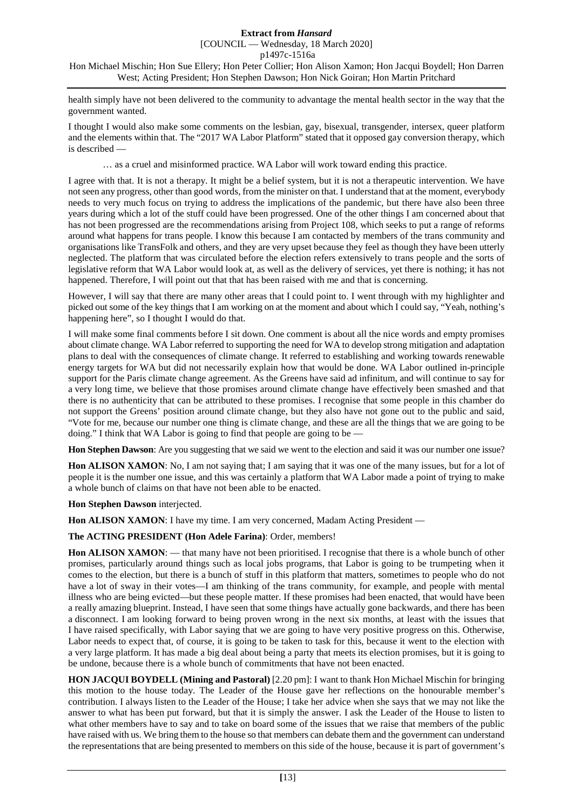health simply have not been delivered to the community to advantage the mental health sector in the way that the government wanted.

I thought I would also make some comments on the lesbian, gay, bisexual, transgender, intersex, queer platform and the elements within that. The "2017 WA Labor Platform" stated that it opposed gay conversion therapy, which is described —

… as a cruel and misinformed practice. WA Labor will work toward ending this practice.

I agree with that. It is not a therapy. It might be a belief system, but it is not a therapeutic intervention. We have not seen any progress, other than good words, from the minister on that. I understand that at the moment, everybody needs to very much focus on trying to address the implications of the pandemic, but there have also been three years during which a lot of the stuff could have been progressed. One of the other things I am concerned about that has not been progressed are the recommendations arising from Project 108, which seeks to put a range of reforms around what happens for trans people. I know this because I am contacted by members of the trans community and organisations like TransFolk and others, and they are very upset because they feel as though they have been utterly neglected. The platform that was circulated before the election refers extensively to trans people and the sorts of legislative reform that WA Labor would look at, as well as the delivery of services, yet there is nothing; it has not happened. Therefore, I will point out that that has been raised with me and that is concerning.

However, I will say that there are many other areas that I could point to. I went through with my highlighter and picked out some of the key things that I am working on at the moment and about which I could say, "Yeah, nothing's happening here", so I thought I would do that.

I will make some final comments before I sit down. One comment is about all the nice words and empty promises about climate change. WA Labor referred to supporting the need for WA to develop strong mitigation and adaptation plans to deal with the consequences of climate change. It referred to establishing and working towards renewable energy targets for WA but did not necessarily explain how that would be done. WA Labor outlined in-principle support for the Paris climate change agreement. As the Greens have said ad infinitum, and will continue to say for a very long time, we believe that those promises around climate change have effectively been smashed and that there is no authenticity that can be attributed to these promises. I recognise that some people in this chamber do not support the Greens' position around climate change, but they also have not gone out to the public and said, "Vote for me, because our number one thing is climate change, and these are all the things that we are going to be doing." I think that WA Labor is going to find that people are going to be —

**Hon Stephen Dawson**: Are you suggesting that we said we went to the election and said it was our number one issue?

**Hon ALISON XAMON**: No, I am not saying that; I am saying that it was one of the many issues, but for a lot of people it is the number one issue, and this was certainly a platform that WA Labor made a point of trying to make a whole bunch of claims on that have not been able to be enacted.

**Hon Stephen Dawson** interjected.

Hon ALISON XAMON: I have my time. I am very concerned, Madam Acting President —

**The ACTING PRESIDENT (Hon Adele Farina)**: Order, members!

**Hon ALISON XAMON:** — that many have not been prioritised. I recognise that there is a whole bunch of other promises, particularly around things such as local jobs programs, that Labor is going to be trumpeting when it comes to the election, but there is a bunch of stuff in this platform that matters, sometimes to people who do not have a lot of sway in their votes—I am thinking of the trans community, for example, and people with mental illness who are being evicted—but these people matter. If these promises had been enacted, that would have been a really amazing blueprint. Instead, I have seen that some things have actually gone backwards, and there has been a disconnect. I am looking forward to being proven wrong in the next six months, at least with the issues that I have raised specifically, with Labor saying that we are going to have very positive progress on this. Otherwise, Labor needs to expect that, of course, it is going to be taken to task for this, because it went to the election with a very large platform. It has made a big deal about being a party that meets its election promises, but it is going to be undone, because there is a whole bunch of commitments that have not been enacted.

**HON JACQUI BOYDELL (Mining and Pastoral)** [2.20 pm]: I want to thank Hon Michael Mischin for bringing this motion to the house today. The Leader of the House gave her reflections on the honourable member's contribution. I always listen to the Leader of the House; I take her advice when she says that we may not like the answer to what has been put forward, but that it is simply the answer. I ask the Leader of the House to listen to what other members have to say and to take on board some of the issues that we raise that members of the public have raised with us. We bring them to the house so that members can debate them and the government can understand the representations that are being presented to members on this side of the house, because it is part of government's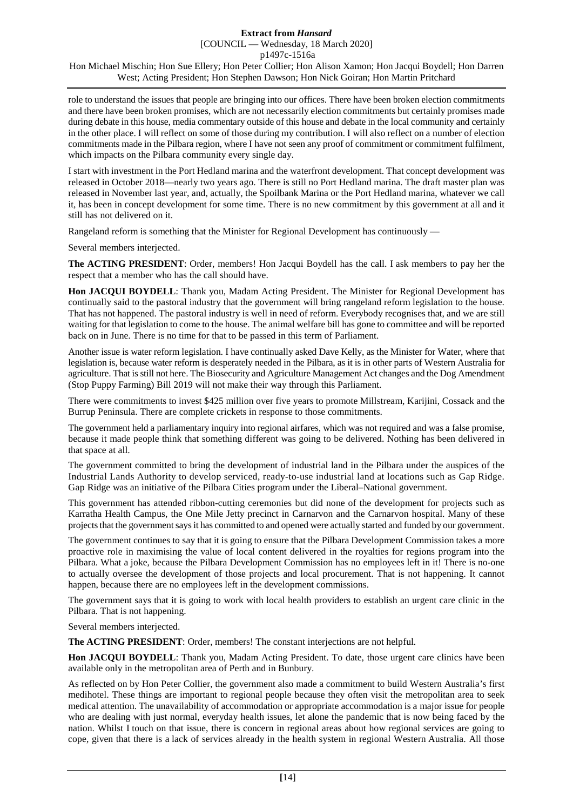role to understand the issues that people are bringing into our offices. There have been broken election commitments and there have been broken promises, which are not necessarily election commitments but certainly promises made during debate in this house, media commentary outside of this house and debate in the local community and certainly in the other place. I will reflect on some of those during my contribution. I will also reflect on a number of election commitments made in the Pilbara region, where I have not seen any proof of commitment or commitment fulfilment, which impacts on the Pilbara community every single day.

I start with investment in the Port Hedland marina and the waterfront development. That concept development was released in October 2018—nearly two years ago. There is still no Port Hedland marina. The draft master plan was released in November last year, and, actually, the Spoilbank Marina or the Port Hedland marina, whatever we call it, has been in concept development for some time. There is no new commitment by this government at all and it still has not delivered on it.

Rangeland reform is something that the Minister for Regional Development has continuously —

Several members interjected.

**The ACTING PRESIDENT**: Order, members! Hon Jacqui Boydell has the call. I ask members to pay her the respect that a member who has the call should have.

**Hon JACQUI BOYDELL**: Thank you, Madam Acting President. The Minister for Regional Development has continually said to the pastoral industry that the government will bring rangeland reform legislation to the house. That has not happened. The pastoral industry is well in need of reform. Everybody recognises that, and we are still waiting for that legislation to come to the house. The animal welfare bill has gone to committee and will be reported back on in June. There is no time for that to be passed in this term of Parliament.

Another issue is water reform legislation. I have continually asked Dave Kelly, as the Minister for Water, where that legislation is, because water reform is desperately needed in the Pilbara, as it is in other parts of Western Australia for agriculture. That is still not here. The Biosecurity and Agriculture Management Act changes and the Dog Amendment (Stop Puppy Farming) Bill 2019 will not make their way through this Parliament.

There were commitments to invest \$425 million over five years to promote Millstream, Karijini, Cossack and the Burrup Peninsula. There are complete crickets in response to those commitments.

The government held a parliamentary inquiry into regional airfares, which was not required and was a false promise, because it made people think that something different was going to be delivered. Nothing has been delivered in that space at all.

The government committed to bring the development of industrial land in the Pilbara under the auspices of the Industrial Lands Authority to develop serviced, ready-to-use industrial land at locations such as Gap Ridge. Gap Ridge was an initiative of the Pilbara Cities program under the Liberal–National government.

This government has attended ribbon-cutting ceremonies but did none of the development for projects such as Karratha Health Campus, the One Mile Jetty precinct in Carnarvon and the Carnarvon hospital. Many of these projects that the government says it has committed to and opened were actually started and funded by our government.

The government continues to say that it is going to ensure that the Pilbara Development Commission takes a more proactive role in maximising the value of local content delivered in the royalties for regions program into the Pilbara. What a joke, because the Pilbara Development Commission has no employees left in it! There is no-one to actually oversee the development of those projects and local procurement. That is not happening. It cannot happen, because there are no employees left in the development commissions.

The government says that it is going to work with local health providers to establish an urgent care clinic in the Pilbara. That is not happening.

Several members interjected.

**The ACTING PRESIDENT**: Order, members! The constant interjections are not helpful.

**Hon JACQUI BOYDELL**: Thank you, Madam Acting President. To date, those urgent care clinics have been available only in the metropolitan area of Perth and in Bunbury.

As reflected on by Hon Peter Collier, the government also made a commitment to build Western Australia's first medihotel. These things are important to regional people because they often visit the metropolitan area to seek medical attention. The unavailability of accommodation or appropriate accommodation is a major issue for people who are dealing with just normal, everyday health issues, let alone the pandemic that is now being faced by the nation. Whilst I touch on that issue, there is concern in regional areas about how regional services are going to cope, given that there is a lack of services already in the health system in regional Western Australia. All those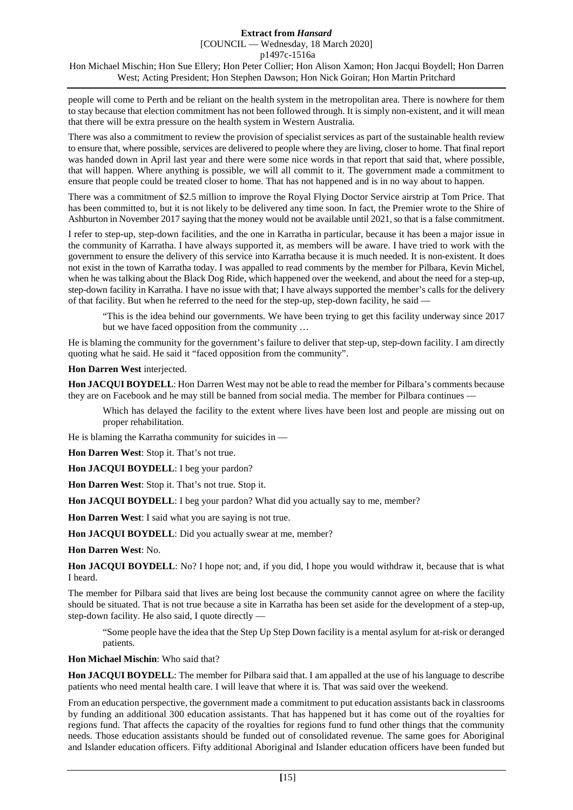people will come to Perth and be reliant on the health system in the metropolitan area. There is nowhere for them to stay because that election commitment has not been followed through. It is simply non-existent, and it will mean that there will be extra pressure on the health system in Western Australia.

There was also a commitment to review the provision of specialist services as part of the sustainable health review to ensure that, where possible, services are delivered to people where they are living, closer to home. That final report was handed down in April last year and there were some nice words in that report that said that, where possible, that will happen. Where anything is possible, we will all commit to it. The government made a commitment to ensure that people could be treated closer to home. That has not happened and is in no way about to happen.

There was a commitment of \$2.5 million to improve the Royal Flying Doctor Service airstrip at Tom Price. That has been committed to, but it is not likely to be delivered any time soon. In fact, the Premier wrote to the Shire of Ashburton in November 2017 saying that the money would not be available until 2021, so that is a false commitment.

I refer to step-up, step-down facilities, and the one in Karratha in particular, because it has been a major issue in the community of Karratha. I have always supported it, as members will be aware. I have tried to work with the government to ensure the delivery of this service into Karratha because it is much needed. It is non-existent. It does not exist in the town of Karratha today. I was appalled to read comments by the member for Pilbara, Kevin Michel, when he was talking about the Black Dog Ride, which happened over the weekend, and about the need for a step-up, step-down facility in Karratha. I have no issue with that; I have always supported the member's calls for the delivery of that facility. But when he referred to the need for the step-up, step-down facility, he said —

"This is the idea behind our governments. We have been trying to get this facility underway since 2017 but we have faced opposition from the community …

He is blaming the community for the government's failure to deliver that step-up, step-down facility. I am directly quoting what he said. He said it "faced opposition from the community".

#### **Hon Darren West** interjected.

**Hon JACQUI BOYDELL**: Hon Darren West may not be able to read the member for Pilbara's comments because they are on Facebook and he may still be banned from social media. The member for Pilbara continues —

Which has delayed the facility to the extent where lives have been lost and people are missing out on proper rehabilitation.

He is blaming the Karratha community for suicides in —

**Hon Darren West**: Stop it. That's not true.

**Hon JACQUI BOYDELL**: I beg your pardon?

**Hon Darren West**: Stop it. That's not true. Stop it.

**Hon JACQUI BOYDELL**: I beg your pardon? What did you actually say to me, member?

**Hon Darren West**: I said what you are saying is not true.

**Hon JACQUI BOYDELL**: Did you actually swear at me, member?

**Hon Darren West**: No.

**Hon JACQUI BOYDELL**: No? I hope not; and, if you did, I hope you would withdraw it, because that is what I heard.

The member for Pilbara said that lives are being lost because the community cannot agree on where the facility should be situated. That is not true because a site in Karratha has been set aside for the development of a step-up, step-down facility. He also said, I quote directly —

"Some people have the idea that the Step Up Step Down facility is a mental asylum for at-risk or deranged patients.

**Hon Michael Mischin**: Who said that?

**Hon JACQUI BOYDELL**: The member for Pilbara said that. I am appalled at the use of his language to describe patients who need mental health care. I will leave that where it is. That was said over the weekend.

From an education perspective, the government made a commitment to put education assistants back in classrooms by funding an additional 300 education assistants. That has happened but it has come out of the royalties for regions fund. That affects the capacity of the royalties for regions fund to fund other things that the community needs. Those education assistants should be funded out of consolidated revenue. The same goes for Aboriginal and Islander education officers. Fifty additional Aboriginal and Islander education officers have been funded but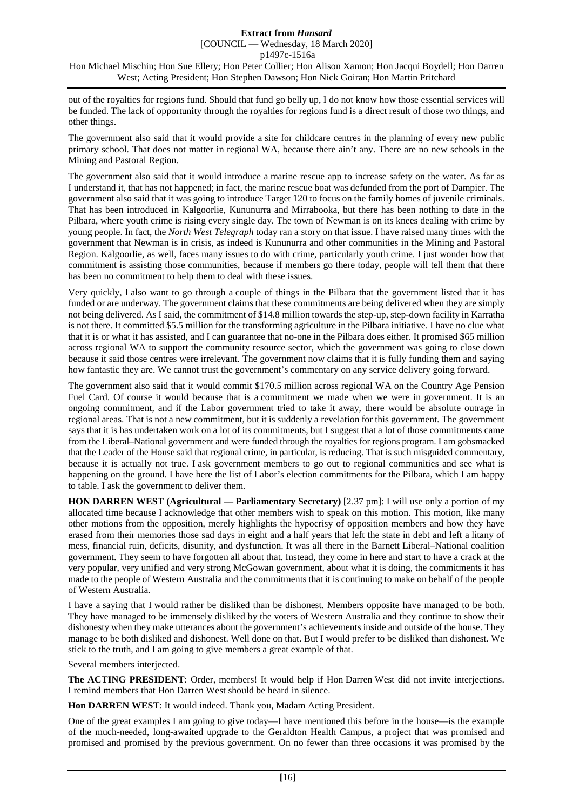#### **Extract from** *Hansard* [COUNCIL — Wednesday, 18 March 2020]

p1497c-1516a

Hon Michael Mischin; Hon Sue Ellery; Hon Peter Collier; Hon Alison Xamon; Hon Jacqui Boydell; Hon Darren West; Acting President; Hon Stephen Dawson; Hon Nick Goiran; Hon Martin Pritchard

out of the royalties for regions fund. Should that fund go belly up, I do not know how those essential services will be funded. The lack of opportunity through the royalties for regions fund is a direct result of those two things, and other things.

The government also said that it would provide a site for childcare centres in the planning of every new public primary school. That does not matter in regional WA, because there ain't any. There are no new schools in the Mining and Pastoral Region.

The government also said that it would introduce a marine rescue app to increase safety on the water. As far as I understand it, that has not happened; in fact, the marine rescue boat was defunded from the port of Dampier. The government also said that it was going to introduce Target 120 to focus on the family homes of juvenile criminals. That has been introduced in Kalgoorlie, Kununurra and Mirrabooka, but there has been nothing to date in the Pilbara, where youth crime is rising every single day. The town of Newman is on its knees dealing with crime by young people. In fact, the *North West Telegraph* today ran a story on that issue. I have raised many times with the government that Newman is in crisis, as indeed is Kununurra and other communities in the Mining and Pastoral Region. Kalgoorlie, as well, faces many issues to do with crime, particularly youth crime. I just wonder how that commitment is assisting those communities, because if members go there today, people will tell them that there has been no commitment to help them to deal with these issues.

Very quickly, I also want to go through a couple of things in the Pilbara that the government listed that it has funded or are underway. The government claims that these commitments are being delivered when they are simply not being delivered. As I said, the commitment of \$14.8 million towards the step-up, step-down facility in Karratha is not there. It committed \$5.5 million for the transforming agriculture in the Pilbara initiative. I have no clue what that it is or what it has assisted, and I can guarantee that no-one in the Pilbara does either. It promised \$65 million across regional WA to support the community resource sector, which the government was going to close down because it said those centres were irrelevant. The government now claims that it is fully funding them and saying how fantastic they are. We cannot trust the government's commentary on any service delivery going forward.

The government also said that it would commit \$170.5 million across regional WA on the Country Age Pension Fuel Card. Of course it would because that is a commitment we made when we were in government. It is an ongoing commitment, and if the Labor government tried to take it away, there would be absolute outrage in regional areas. That is not a new commitment, but it is suddenly a revelation for this government. The government says that it is has undertaken work on a lot of its commitments, but I suggest that a lot of those commitments came from the Liberal–National government and were funded through the royalties for regions program. I am gobsmacked that the Leader of the House said that regional crime, in particular, is reducing. That is such misguided commentary, because it is actually not true. I ask government members to go out to regional communities and see what is happening on the ground. I have here the list of Labor's election commitments for the Pilbara, which I am happy to table. I ask the government to deliver them.

**HON DARREN WEST (Agricultural — Parliamentary Secretary)** [2.37 pm]: I will use only a portion of my allocated time because I acknowledge that other members wish to speak on this motion. This motion, like many other motions from the opposition, merely highlights the hypocrisy of opposition members and how they have erased from their memories those sad days in eight and a half years that left the state in debt and left a litany of mess, financial ruin, deficits, disunity, and dysfunction. It was all there in the Barnett Liberal–National coalition government. They seem to have forgotten all about that. Instead, they come in here and start to have a crack at the very popular, very unified and very strong McGowan government, about what it is doing, the commitments it has made to the people of Western Australia and the commitments that it is continuing to make on behalf of the people of Western Australia.

I have a saying that I would rather be disliked than be dishonest. Members opposite have managed to be both. They have managed to be immensely disliked by the voters of Western Australia and they continue to show their dishonesty when they make utterances about the government's achievements inside and outside of the house. They manage to be both disliked and dishonest. Well done on that. But I would prefer to be disliked than dishonest. We stick to the truth, and I am going to give members a great example of that.

Several members interjected.

**The ACTING PRESIDENT**: Order, members! It would help if Hon Darren West did not invite interjections. I remind members that Hon Darren West should be heard in silence.

**Hon DARREN WEST**: It would indeed. Thank you, Madam Acting President.

One of the great examples I am going to give today—I have mentioned this before in the house—is the example of the much-needed, long-awaited upgrade to the Geraldton Health Campus, a project that was promised and promised and promised by the previous government. On no fewer than three occasions it was promised by the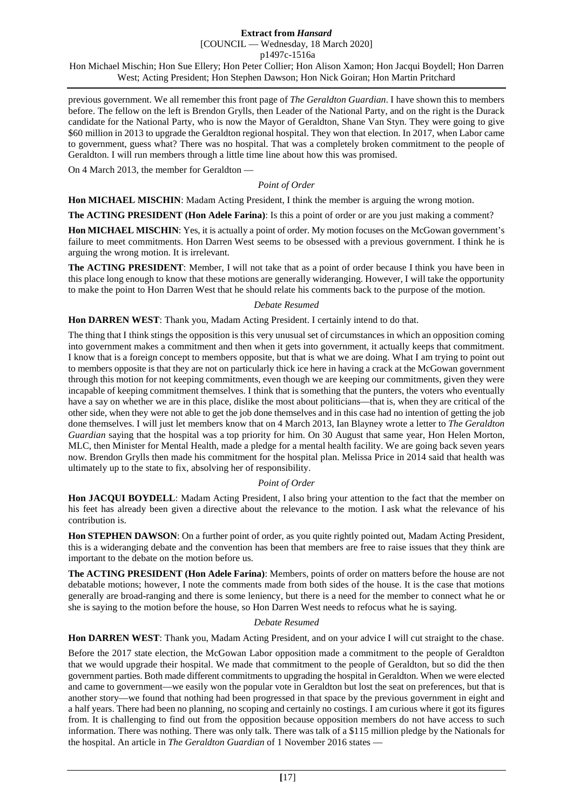previous government. We all remember this front page of *The Geraldton Guardian*. I have shown this to members before. The fellow on the left is Brendon Grylls, then Leader of the National Party, and on the right is the Durack candidate for the National Party, who is now the Mayor of Geraldton, Shane Van Styn. They were going to give \$60 million in 2013 to upgrade the Geraldton regional hospital. They won that election. In 2017, when Labor came to government, guess what? There was no hospital. That was a completely broken commitment to the people of Geraldton. I will run members through a little time line about how this was promised.

On 4 March 2013, the member for Geraldton —

*Point of Order*

**Hon MICHAEL MISCHIN**: Madam Acting President, I think the member is arguing the wrong motion.

**The ACTING PRESIDENT (Hon Adele Farina)**: Is this a point of order or are you just making a comment?

**Hon MICHAEL MISCHIN**: Yes, it is actually a point of order. My motion focuses on the McGowan government's failure to meet commitments. Hon Darren West seems to be obsessed with a previous government. I think he is arguing the wrong motion. It is irrelevant.

**The ACTING PRESIDENT**: Member, I will not take that as a point of order because I think you have been in this place long enough to know that these motions are generally wideranging. However, I will take the opportunity to make the point to Hon Darren West that he should relate his comments back to the purpose of the motion.

#### *Debate Resumed*

**Hon DARREN WEST**: Thank you, Madam Acting President. I certainly intend to do that.

The thing that I think stings the opposition is this very unusual set of circumstances in which an opposition coming into government makes a commitment and then when it gets into government, it actually keeps that commitment. I know that is a foreign concept to members opposite, but that is what we are doing. What I am trying to point out to members opposite is that they are not on particularly thick ice here in having a crack at the McGowan government through this motion for not keeping commitments, even though we are keeping our commitments, given they were incapable of keeping commitment themselves. I think that is something that the punters, the voters who eventually have a say on whether we are in this place, dislike the most about politicians—that is, when they are critical of the other side, when they were not able to get the job done themselves and in this case had no intention of getting the job done themselves. I will just let members know that on 4 March 2013, Ian Blayney wrote a letter to *The Geraldton Guardian* saying that the hospital was a top priority for him. On 30 August that same year, Hon Helen Morton, MLC, then Minister for Mental Health, made a pledge for a mental health facility. We are going back seven years now. Brendon Grylls then made his commitment for the hospital plan. Melissa Price in 2014 said that health was ultimately up to the state to fix, absolving her of responsibility.

#### *Point of Order*

**Hon JACQUI BOYDELL**: Madam Acting President, I also bring your attention to the fact that the member on his feet has already been given a directive about the relevance to the motion. I ask what the relevance of his contribution is.

**Hon STEPHEN DAWSON**: On a further point of order, as you quite rightly pointed out, Madam Acting President, this is a wideranging debate and the convention has been that members are free to raise issues that they think are important to the debate on the motion before us.

**The ACTING PRESIDENT (Hon Adele Farina)**: Members, points of order on matters before the house are not debatable motions; however, I note the comments made from both sides of the house. It is the case that motions generally are broad-ranging and there is some leniency, but there is a need for the member to connect what he or she is saying to the motion before the house, so Hon Darren West needs to refocus what he is saying.

#### *Debate Resumed*

**Hon DARREN WEST**: Thank you, Madam Acting President, and on your advice I will cut straight to the chase.

Before the 2017 state election, the McGowan Labor opposition made a commitment to the people of Geraldton that we would upgrade their hospital. We made that commitment to the people of Geraldton, but so did the then government parties. Both made different commitments to upgrading the hospital in Geraldton. When we were elected and came to government—we easily won the popular vote in Geraldton but lost the seat on preferences, but that is another story—we found that nothing had been progressed in that space by the previous government in eight and a half years. There had been no planning, no scoping and certainly no costings. I am curious where it got its figures from. It is challenging to find out from the opposition because opposition members do not have access to such information. There was nothing. There was only talk. There was talk of a \$115 million pledge by the Nationals for the hospital. An article in *The Geraldton Guardian* of 1 November 2016 states —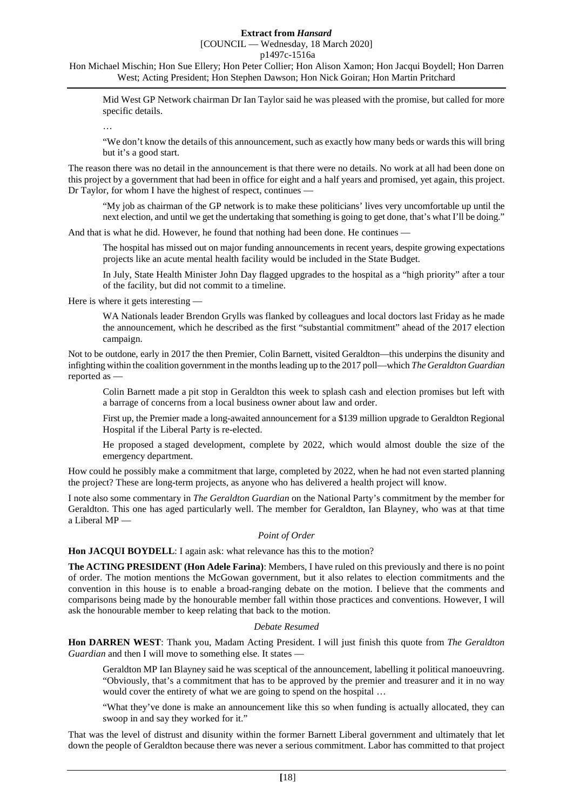# [COUNCIL — Wednesday, 18 March 2020]

p1497c-1516a

Hon Michael Mischin; Hon Sue Ellery; Hon Peter Collier; Hon Alison Xamon; Hon Jacqui Boydell; Hon Darren West; Acting President; Hon Stephen Dawson; Hon Nick Goiran; Hon Martin Pritchard

Mid West GP Network chairman Dr Ian Taylor said he was pleased with the promise, but called for more specific details.

…

"We don't know the details of this announcement, such as exactly how many beds or wards this will bring but it's a good start.

The reason there was no detail in the announcement is that there were no details. No work at all had been done on this project by a government that had been in office for eight and a half years and promised, yet again, this project. Dr Taylor, for whom I have the highest of respect, continues —

"My job as chairman of the GP network is to make these politicians' lives very uncomfortable up until the next election, and until we get the undertaking that something is going to get done, that's what I'll be doing."

And that is what he did. However, he found that nothing had been done. He continues —

The hospital has missed out on major funding announcements in recent years, despite growing expectations projects like an acute mental health facility would be included in the State Budget.

In July, State Health Minister John Day flagged upgrades to the hospital as a "high priority" after a tour of the facility, but did not commit to a timeline.

Here is where it gets interesting —

WA Nationals leader Brendon Grylls was flanked by colleagues and local doctors last Friday as he made the announcement, which he described as the first "substantial commitment" ahead of the 2017 election campaign.

Not to be outdone, early in 2017 the then Premier, Colin Barnett, visited Geraldton—this underpins the disunity and infighting within the coalition government in the months leading up to the 2017 poll—which *The Geraldton Guardian* reported as —

Colin Barnett made a pit stop in Geraldton this week to splash cash and election promises but left with a barrage of concerns from a local business owner about law and order.

First up, the Premier made a long-awaited announcement for a \$139 million upgrade to Geraldton Regional Hospital if the Liberal Party is re-elected.

He proposed a staged development, complete by 2022, which would almost double the size of the emergency department.

How could he possibly make a commitment that large, completed by 2022, when he had not even started planning the project? These are long-term projects, as anyone who has delivered a health project will know.

I note also some commentary in *The Geraldton Guardian* on the National Party's commitment by the member for Geraldton. This one has aged particularly well. The member for Geraldton, Ian Blayney, who was at that time a Liberal MP —

#### *Point of Order*

**Hon JACQUI BOYDELL**: I again ask: what relevance has this to the motion?

**The ACTING PRESIDENT (Hon Adele Farina)**: Members, I have ruled on this previously and there is no point of order. The motion mentions the McGowan government, but it also relates to election commitments and the convention in this house is to enable a broad-ranging debate on the motion. I believe that the comments and comparisons being made by the honourable member fall within those practices and conventions. However, I will ask the honourable member to keep relating that back to the motion.

## *Debate Resumed*

**Hon DARREN WEST**: Thank you, Madam Acting President. I will just finish this quote from *The Geraldton Guardian* and then I will move to something else. It states —

Geraldton MP Ian Blayney said he was sceptical of the announcement, labelling it political manoeuvring. "Obviously, that's a commitment that has to be approved by the premier and treasurer and it in no way would cover the entirety of what we are going to spend on the hospital ...

"What they've done is make an announcement like this so when funding is actually allocated, they can swoop in and say they worked for it."

That was the level of distrust and disunity within the former Barnett Liberal government and ultimately that let down the people of Geraldton because there was never a serious commitment. Labor has committed to that project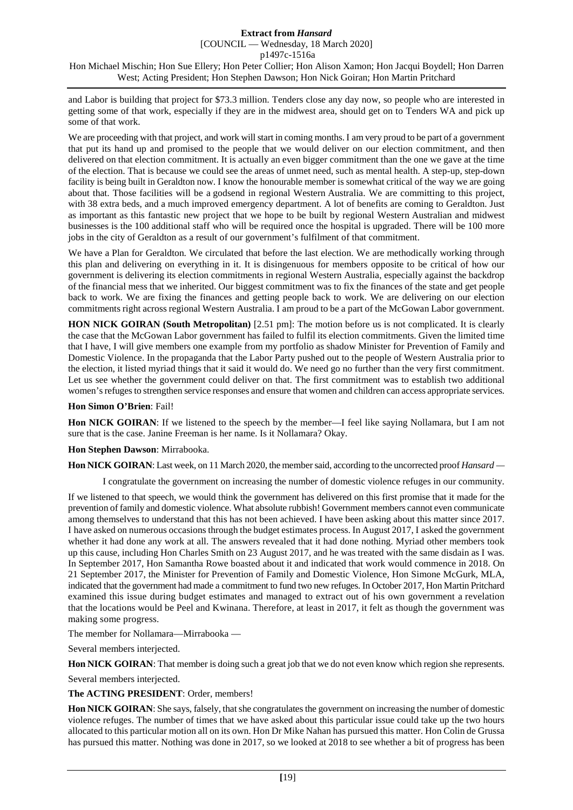[COUNCIL — Wednesday, 18 March 2020]

p1497c-1516a

Hon Michael Mischin; Hon Sue Ellery; Hon Peter Collier; Hon Alison Xamon; Hon Jacqui Boydell; Hon Darren West; Acting President; Hon Stephen Dawson; Hon Nick Goiran; Hon Martin Pritchard

and Labor is building that project for \$73.3 million. Tenders close any day now, so people who are interested in getting some of that work, especially if they are in the midwest area, should get on to Tenders WA and pick up some of that work.

We are proceeding with that project, and work will start in coming months. I am very proud to be part of a government that put its hand up and promised to the people that we would deliver on our election commitment, and then delivered on that election commitment. It is actually an even bigger commitment than the one we gave at the time of the election. That is because we could see the areas of unmet need, such as mental health. A step-up, step-down facility is being built in Geraldton now. I know the honourable member is somewhat critical of the way we are going about that. Those facilities will be a godsend in regional Western Australia. We are committing to this project, with 38 extra beds, and a much improved emergency department. A lot of benefits are coming to Geraldton. Just as important as this fantastic new project that we hope to be built by regional Western Australian and midwest businesses is the 100 additional staff who will be required once the hospital is upgraded. There will be 100 more jobs in the city of Geraldton as a result of our government's fulfilment of that commitment.

We have a Plan for Geraldton. We circulated that before the last election. We are methodically working through this plan and delivering on everything in it. It is disingenuous for members opposite to be critical of how our government is delivering its election commitments in regional Western Australia, especially against the backdrop of the financial mess that we inherited. Our biggest commitment was to fix the finances of the state and get people back to work. We are fixing the finances and getting people back to work. We are delivering on our election commitments right across regional Western Australia. I am proud to be a part of the McGowan Labor government.

**HON NICK GOIRAN (South Metropolitan)** [2.51 pm]: The motion before us is not complicated. It is clearly the case that the McGowan Labor government has failed to fulfil its election commitments. Given the limited time that I have, I will give members one example from my portfolio as shadow Minister for Prevention of Family and Domestic Violence. In the propaganda that the Labor Party pushed out to the people of Western Australia prior to the election, it listed myriad things that it said it would do. We need go no further than the very first commitment. Let us see whether the government could deliver on that. The first commitment was to establish two additional women's refuges to strengthen service responses and ensure that women and children can access appropriate services.

#### **Hon Simon O'Brien**: Fail!

**Hon NICK GOIRAN**: If we listened to the speech by the member—I feel like saying Nollamara, but I am not sure that is the case. Janine Freeman is her name. Is it Nollamara? Okay.

## **Hon Stephen Dawson**: Mirrabooka.

**Hon NICK GOIRAN**: Last week, on 11 March 2020, the member said, according to the uncorrected proof *Hansard —*

I congratulate the government on increasing the number of domestic violence refuges in our community.

If we listened to that speech, we would think the government has delivered on this first promise that it made for the prevention of family and domestic violence. What absolute rubbish! Government members cannot even communicate among themselves to understand that this has not been achieved. I have been asking about this matter since 2017. I have asked on numerous occasions through the budget estimates process. In August 2017, I asked the government whether it had done any work at all. The answers revealed that it had done nothing. Myriad other members took up this cause, including Hon Charles Smith on 23 August 2017, and he was treated with the same disdain as I was. In September 2017, Hon Samantha Rowe boasted about it and indicated that work would commence in 2018. On 21 September 2017, the Minister for Prevention of Family and Domestic Violence, Hon Simone McGurk, MLA, indicated that the government had made a commitment to fund two new refuges. In October 2017, Hon Martin Pritchard examined this issue during budget estimates and managed to extract out of his own government a revelation that the locations would be Peel and Kwinana. Therefore, at least in 2017, it felt as though the government was making some progress.

The member for Nollamara—Mirrabooka —

Several members interjected.

**Hon NICK GOIRAN**: That member is doing such a great job that we do not even know which region she represents.

Several members interjected.

**The ACTING PRESIDENT**: Order, members!

**Hon NICK GOIRAN**: She says, falsely, that she congratulates the government on increasing the number of domestic violence refuges. The number of times that we have asked about this particular issue could take up the two hours allocated to this particular motion all on its own. Hon Dr Mike Nahan has pursued this matter. Hon Colin de Grussa has pursued this matter. Nothing was done in 2017, so we looked at 2018 to see whether a bit of progress has been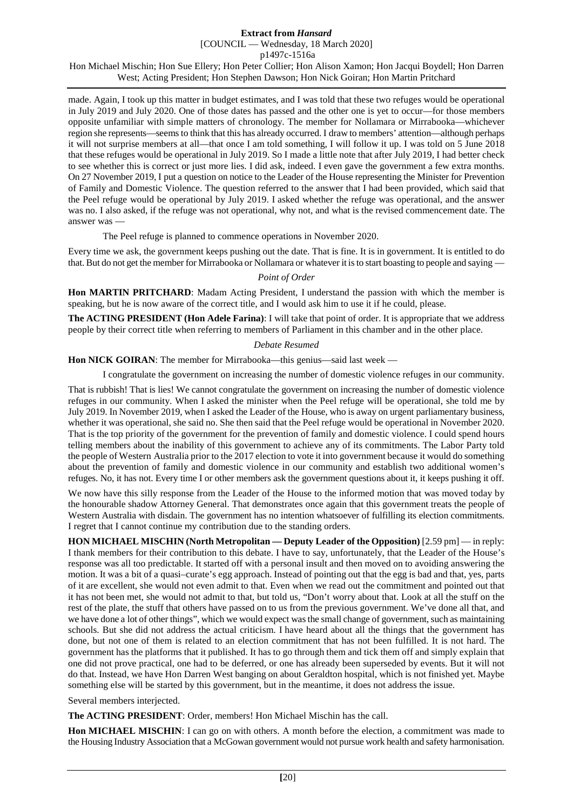[COUNCIL — Wednesday, 18 March 2020]

p1497c-1516a

Hon Michael Mischin; Hon Sue Ellery; Hon Peter Collier; Hon Alison Xamon; Hon Jacqui Boydell; Hon Darren West; Acting President; Hon Stephen Dawson; Hon Nick Goiran; Hon Martin Pritchard

made. Again, I took up this matter in budget estimates, and I was told that these two refuges would be operational in July 2019 and July 2020. One of those dates has passed and the other one is yet to occur—for those members opposite unfamiliar with simple matters of chronology. The member for Nollamara or Mirrabooka—whichever region she represents—seems to think that this has already occurred. I draw to members' attention—although perhaps it will not surprise members at all—that once I am told something, I will follow it up. I was told on 5 June 2018 that these refuges would be operational in July 2019. So I made a little note that after July 2019, I had better check to see whether this is correct or just more lies. I did ask, indeed. I even gave the government a few extra months. On 27 November 2019, I put a question on notice to the Leader of the House representing the Minister for Prevention of Family and Domestic Violence. The question referred to the answer that I had been provided, which said that the Peel refuge would be operational by July 2019. I asked whether the refuge was operational, and the answer was no. I also asked, if the refuge was not operational, why not, and what is the revised commencement date. The answer was —

The Peel refuge is planned to commence operations in November 2020.

Every time we ask, the government keeps pushing out the date. That is fine. It is in government. It is entitled to do that. But do not get the member for Mirrabooka or Nollamara or whatever it is to start boasting to people and saying —

### *Point of Order*

**Hon MARTIN PRITCHARD**: Madam Acting President, I understand the passion with which the member is speaking, but he is now aware of the correct title, and I would ask him to use it if he could, please.

**The ACTING PRESIDENT (Hon Adele Farina)**: I will take that point of order. It is appropriate that we address people by their correct title when referring to members of Parliament in this chamber and in the other place.

### *Debate Resumed*

**Hon NICK GOIRAN:** The member for Mirrabooka—this genius—said last week —

I congratulate the government on increasing the number of domestic violence refuges in our community.

That is rubbish! That is lies! We cannot congratulate the government on increasing the number of domestic violence refuges in our community. When I asked the minister when the Peel refuge will be operational, she told me by July 2019. In November 2019, when I asked the Leader of the House, who is away on urgent parliamentary business, whether it was operational, she said no. She then said that the Peel refuge would be operational in November 2020. That is the top priority of the government for the prevention of family and domestic violence. I could spend hours telling members about the inability of this government to achieve any of its commitments. The Labor Party told the people of Western Australia prior to the 2017 election to vote it into government because it would do something about the prevention of family and domestic violence in our community and establish two additional women's refuges. No, it has not. Every time I or other members ask the government questions about it, it keeps pushing it off.

We now have this silly response from the Leader of the House to the informed motion that was moved today by the honourable shadow Attorney General. That demonstrates once again that this government treats the people of Western Australia with disdain. The government has no intention whatsoever of fulfilling its election commitments. I regret that I cannot continue my contribution due to the standing orders.

**HON MICHAEL MISCHIN (North Metropolitan — Deputy Leader of the Opposition)** [2.59 pm] — in reply: I thank members for their contribution to this debate. I have to say, unfortunately, that the Leader of the House's response was all too predictable. It started off with a personal insult and then moved on to avoiding answering the motion. It was a bit of a quasi–curate's egg approach. Instead of pointing out that the egg is bad and that, yes, parts of it are excellent, she would not even admit to that. Even when we read out the commitment and pointed out that it has not been met, she would not admit to that, but told us, "Don't worry about that. Look at all the stuff on the rest of the plate, the stuff that others have passed on to us from the previous government. We've done all that, and we have done a lot of other things", which we would expect was the small change of government, such as maintaining schools. But she did not address the actual criticism. I have heard about all the things that the government has done, but not one of them is related to an election commitment that has not been fulfilled. It is not hard. The government has the platforms that it published. It has to go through them and tick them off and simply explain that one did not prove practical, one had to be deferred, or one has already been superseded by events. But it will not do that. Instead, we have Hon Darren West banging on about Geraldton hospital, which is not finished yet. Maybe something else will be started by this government, but in the meantime, it does not address the issue.

Several members interjected.

**The ACTING PRESIDENT**: Order, members! Hon Michael Mischin has the call.

**Hon MICHAEL MISCHIN**: I can go on with others. A month before the election, a commitment was made to the Housing Industry Association that a McGowan government would not pursue work health and safety harmonisation.